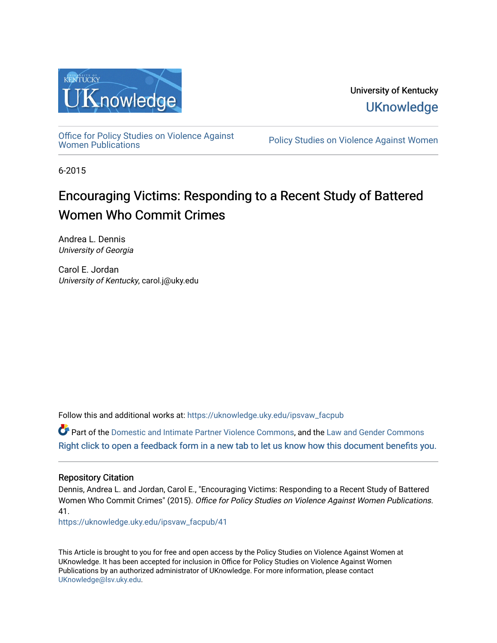

University of Kentucky **UKnowledge** 

[Office for Policy Studies on Violence Against](https://uknowledge.uky.edu/ipsvaw_facpub)

Policy Studies on Violence Against Women

6-2015

# Encouraging Victims: Responding to a Recent Study of Battered Women Who Commit Crimes

Andrea L. Dennis University of Georgia

Carol E. Jordan University of Kentucky, carol.j@uky.edu

Follow this and additional works at: [https://uknowledge.uky.edu/ipsvaw\\_facpub](https://uknowledge.uky.edu/ipsvaw_facpub?utm_source=uknowledge.uky.edu%2Fipsvaw_facpub%2F41&utm_medium=PDF&utm_campaign=PDFCoverPages) 

Part of the [Domestic and Intimate Partner Violence Commons](http://network.bepress.com/hgg/discipline/1309?utm_source=uknowledge.uky.edu%2Fipsvaw_facpub%2F41&utm_medium=PDF&utm_campaign=PDFCoverPages), and the Law and Gender Commons [Right click to open a feedback form in a new tab to let us know how this document benefits you.](https://uky.az1.qualtrics.com/jfe/form/SV_9mq8fx2GnONRfz7)

# Repository Citation

Dennis, Andrea L. and Jordan, Carol E., "Encouraging Victims: Responding to a Recent Study of Battered Women Who Commit Crimes" (2015). Office for Policy Studies on Violence Against Women Publications. 41.

[https://uknowledge.uky.edu/ipsvaw\\_facpub/41](https://uknowledge.uky.edu/ipsvaw_facpub/41?utm_source=uknowledge.uky.edu%2Fipsvaw_facpub%2F41&utm_medium=PDF&utm_campaign=PDFCoverPages)

This Article is brought to you for free and open access by the Policy Studies on Violence Against Women at UKnowledge. It has been accepted for inclusion in Office for Policy Studies on Violence Against Women Publications by an authorized administrator of UKnowledge. For more information, please contact [UKnowledge@lsv.uky.edu.](mailto:UKnowledge@lsv.uky.edu)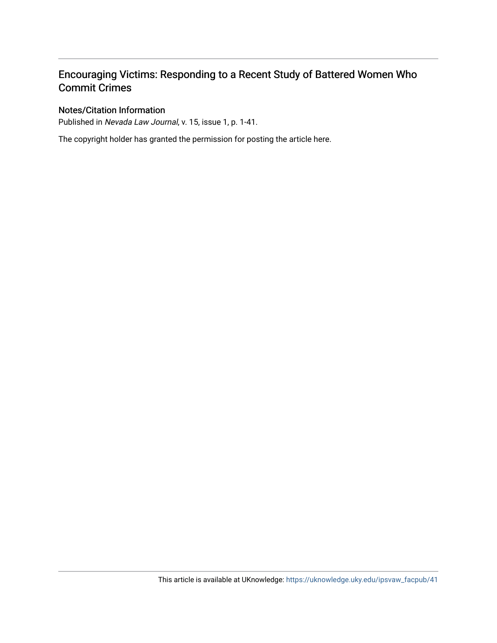# Encouraging Victims: Responding to a Recent Study of Battered Women Who Commit Crimes

# Notes/Citation Information

Published in Nevada Law Journal, v. 15, issue 1, p. 1-41.

The copyright holder has granted the permission for posting the article here.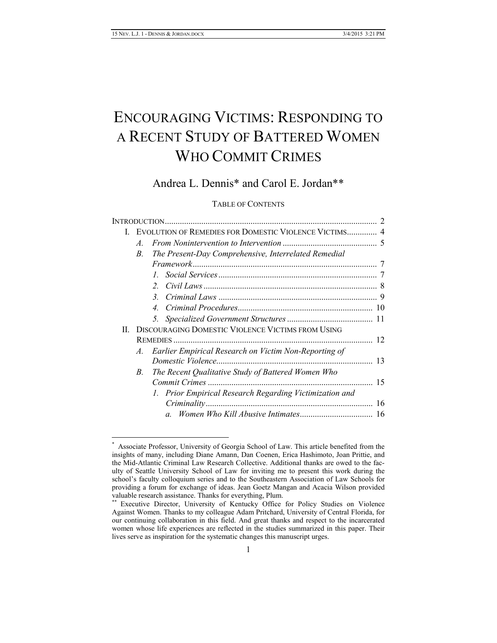# ENCOURAGING VICTIMS: RESPONDING TO A RECENT STUDY OF BATTERED WOMEN WHO COMMIT CRIMES

# Andrea L. Dennis\* and Carol E. Jordan\*\*

#### TABLE OF CONTENTS

| L. | EVOLUTION OF REMEDIES FOR DOMESTIC VIOLENCE VICTIMS 4      |                                                          |    |  |  |  |
|----|------------------------------------------------------------|----------------------------------------------------------|----|--|--|--|
|    | $\mathcal{A}_{\cdot}$                                      |                                                          |    |  |  |  |
|    | The Present-Day Comprehensive, Interrelated Remedial<br>B. |                                                          |    |  |  |  |
|    |                                                            |                                                          |    |  |  |  |
|    |                                                            |                                                          |    |  |  |  |
|    |                                                            | $2^{\circ}$                                              |    |  |  |  |
|    |                                                            | 3.                                                       |    |  |  |  |
|    |                                                            | 4.                                                       |    |  |  |  |
|    |                                                            |                                                          |    |  |  |  |
| Н  |                                                            | <b>DISCOURAGING DOMESTIC VIOLENCE VICTIMS FROM USING</b> |    |  |  |  |
|    |                                                            |                                                          |    |  |  |  |
|    | A.                                                         | Earlier Empirical Research on Victim Non-Reporting of    |    |  |  |  |
|    |                                                            |                                                          |    |  |  |  |
|    | B.                                                         | The Recent Qualitative Study of Battered Women Who       |    |  |  |  |
|    |                                                            |                                                          | 15 |  |  |  |
|    |                                                            | 1. Prior Empirical Research Regarding Victimization and  |    |  |  |  |
|    |                                                            |                                                          | 16 |  |  |  |
|    |                                                            |                                                          |    |  |  |  |
|    |                                                            |                                                          |    |  |  |  |

 <sup>\*</sup> Associate Professor, University of Georgia School of Law. This article benefited from the insights of many, including Diane Amann, Dan Coenen, Erica Hashimoto, Joan Prittie, and the Mid-Atlantic Criminal Law Research Collective. Additional thanks are owed to the faculty of Seattle University School of Law for inviting me to present this work during the school's faculty colloquium series and to the Southeastern Association of Law Schools for providing a forum for exchange of ideas. Jean Goetz Mangan and Acacia Wilson provided valuable research assistance. Thanks for everything, Plum.

<sup>\*\*</sup> Executive Director, University of Kentucky Office for Policy Studies on Violence Against Women. Thanks to my colleague Adam Pritchard, University of Central Florida, for our continuing collaboration in this field. And great thanks and respect to the incarcerated women whose life experiences are reflected in the studies summarized in this paper. Their lives serve as inspiration for the systematic changes this manuscript urges.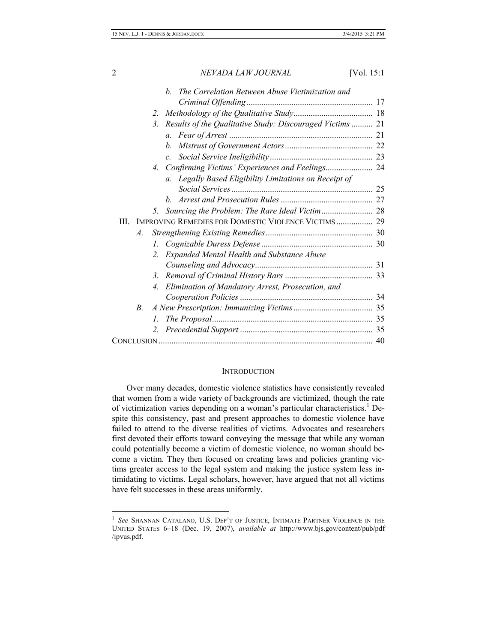|                 | The Correlation Between Abuse Victimization and<br>h                       |  |  |  |  |
|-----------------|----------------------------------------------------------------------------|--|--|--|--|
|                 |                                                                            |  |  |  |  |
|                 | 2.                                                                         |  |  |  |  |
|                 | Results of the Qualitative Study: Discouraged Victims  21<br>$\mathbf{3}$  |  |  |  |  |
|                 |                                                                            |  |  |  |  |
|                 | $h_{-}$                                                                    |  |  |  |  |
|                 | $c_{\cdot}$                                                                |  |  |  |  |
|                 | 4.                                                                         |  |  |  |  |
|                 | a. Legally Based Eligibility Limitations on Receipt of                     |  |  |  |  |
|                 |                                                                            |  |  |  |  |
|                 |                                                                            |  |  |  |  |
|                 |                                                                            |  |  |  |  |
| Ш               | <b>IMPROVING REMEDIES FOR DOMESTIC VIOLENCE VICTIMS 29</b>                 |  |  |  |  |
| $\mathcal{A}$ . |                                                                            |  |  |  |  |
|                 |                                                                            |  |  |  |  |
|                 | Expanded Mental Health and Substance Abuse<br>$2^{\circ}$                  |  |  |  |  |
|                 |                                                                            |  |  |  |  |
|                 | 3.                                                                         |  |  |  |  |
|                 | Elimination of Mandatory Arrest, Prosecution, and<br>$\mathcal{A}_{\cdot}$ |  |  |  |  |
|                 |                                                                            |  |  |  |  |
| В.              |                                                                            |  |  |  |  |
|                 | $\mathcal{I}_{\cdot}$                                                      |  |  |  |  |
|                 |                                                                            |  |  |  |  |
|                 |                                                                            |  |  |  |  |

#### **INTRODUCTION**

Over many decades, domestic violence statistics have consistently revealed that women from a wide variety of backgrounds are victimized, though the rate of victimization varies depending on a woman's particular characteristics.<sup>1</sup> Despite this consistency, past and present approaches to domestic violence have failed to attend to the diverse realities of victims. Advocates and researchers first devoted their efforts toward conveying the message that while any woman could potentially become a victim of domestic violence, no woman should become a victim. They then focused on creating laws and policies granting victims greater access to the legal system and making the justice system less intimidating to victims. Legal scholars, however, have argued that not all victims have felt successes in these areas uniformly.

<sup>|&</sup>lt;br>|<br>| *See* SHANNAN CATALANO, U.S. DEP'T OF JUSTICE, INTIMATE PARTNER VIOLENCE IN THE UNITED STATES 6–18 (Dec. 19, 2007), *available at* http://www.bjs.gov/content/pub/pdf /ipvus.pdf.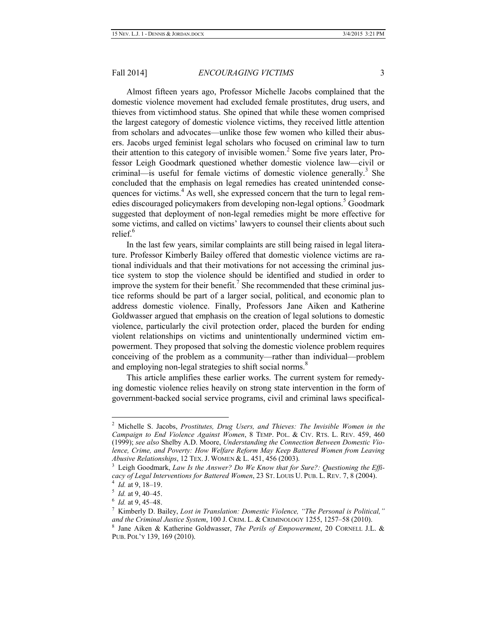Almost fifteen years ago, Professor Michelle Jacobs complained that the domestic violence movement had excluded female prostitutes, drug users, and thieves from victimhood status. She opined that while these women comprised the largest category of domestic violence victims, they received little attention from scholars and advocates—unlike those few women who killed their abusers. Jacobs urged feminist legal scholars who focused on criminal law to turn their attention to this category of invisible women.<sup>2</sup> Some five years later, Professor Leigh Goodmark questioned whether domestic violence law—civil or criminal—is useful for female victims of domestic violence generally.<sup>3</sup> She concluded that the emphasis on legal remedies has created unintended consequences for victims. $4$  As well, she expressed concern that the turn to legal remedies discouraged policymakers from developing non-legal options.<sup>5</sup> Goodmark suggested that deployment of non-legal remedies might be more effective for some victims, and called on victims' lawyers to counsel their clients about such relief<sup>6</sup>

In the last few years, similar complaints are still being raised in legal literature. Professor Kimberly Bailey offered that domestic violence victims are rational individuals and that their motivations for not accessing the criminal justice system to stop the violence should be identified and studied in order to improve the system for their benefit.<sup> $\prime$ </sup> She recommended that these criminal justice reforms should be part of a larger social, political, and economic plan to address domestic violence. Finally, Professors Jane Aiken and Katherine Goldwasser argued that emphasis on the creation of legal solutions to domestic violence, particularly the civil protection order, placed the burden for ending violent relationships on victims and unintentionally undermined victim empowerment. They proposed that solving the domestic violence problem requires conceiving of the problem as a community—rather than individual—problem and employing non-legal strategies to shift social norms.<sup>8</sup>

This article amplifies these earlier works. The current system for remedying domestic violence relies heavily on strong state intervention in the form of government-backed social service programs, civil and criminal laws specifical-

 $\frac{1}{2}$  Michelle S. Jacobs, *Prostitutes, Drug Users, and Thieves: The Invisible Women in the Campaign to End Violence Against Women*, 8 TEMP. POL. & CIV. RTS. L. REV. 459, 460 (1999); *see also* Shelby A.D. Moore, *Understanding the Connection Between Domestic Violence, Crime, and Poverty: How Welfare Reform May Keep Battered Women from Leaving Abusive Relationships*, 12 TEX. J. WOMEN & L. 451, 456 (2003).

<sup>&</sup>lt;sup>3</sup> Leigh Goodmark, *Law Is the Answer? Do We Know that for Sure?: Questioning the Efficacy of Legal Interventions for Battered Women*, 23 ST. LOUIS U. PUB. L. REV. 7, 8 (2004).

<sup>4</sup> *Id.* at 9, 18–19.

<sup>5</sup> *Id.* at 9, 40–45.

<sup>6</sup> *Id.* at 9, 45–48.

<sup>7</sup> Kimberly D. Bailey, *Lost in Translation: Domestic Violence, "The Personal is Political," and the Criminal Justice System*, 100 J. CRIM. L. & CRIMINOLOGY 1255, 1257–58 (2010). 8 Jane Aiken & Katherine Goldwasser, *The Perils of Empowerment*, 20 CORNELL J.L. &

PUB. POL'Y 139, 169 (2010).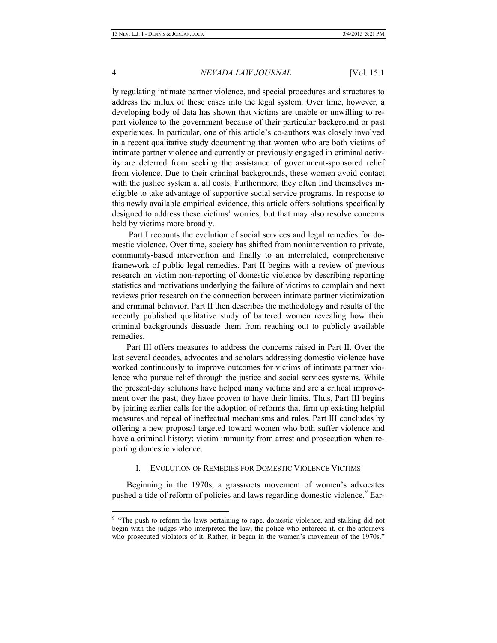ly regulating intimate partner violence, and special procedures and structures to address the influx of these cases into the legal system. Over time, however, a developing body of data has shown that victims are unable or unwilling to report violence to the government because of their particular background or past experiences. In particular, one of this article's co-authors was closely involved in a recent qualitative study documenting that women who are both victims of intimate partner violence and currently or previously engaged in criminal activity are deterred from seeking the assistance of government-sponsored relief from violence. Due to their criminal backgrounds, these women avoid contact with the justice system at all costs. Furthermore, they often find themselves ineligible to take advantage of supportive social service programs. In response to this newly available empirical evidence, this article offers solutions specifically designed to address these victims' worries, but that may also resolve concerns held by victims more broadly.

Part I recounts the evolution of social services and legal remedies for domestic violence. Over time, society has shifted from nonintervention to private, community-based intervention and finally to an interrelated, comprehensive framework of public legal remedies. Part II begins with a review of previous research on victim non-reporting of domestic violence by describing reporting statistics and motivations underlying the failure of victims to complain and next reviews prior research on the connection between intimate partner victimization and criminal behavior. Part II then describes the methodology and results of the recently published qualitative study of battered women revealing how their criminal backgrounds dissuade them from reaching out to publicly available remedies.

Part III offers measures to address the concerns raised in Part II. Over the last several decades, advocates and scholars addressing domestic violence have worked continuously to improve outcomes for victims of intimate partner violence who pursue relief through the justice and social services systems. While the present-day solutions have helped many victims and are a critical improvement over the past, they have proven to have their limits. Thus, Part III begins by joining earlier calls for the adoption of reforms that firm up existing helpful measures and repeal of ineffectual mechanisms and rules. Part III concludes by offering a new proposal targeted toward women who both suffer violence and have a criminal history: victim immunity from arrest and prosecution when reporting domestic violence.

#### I. EVOLUTION OF REMEDIES FOR DOMESTIC VIOLENCE VICTIMS

Beginning in the 1970s, a grassroots movement of women's advocates pushed a tide of reform of policies and laws regarding domestic violence.<sup>9</sup> Ear-

<sup>-&</sup>lt;br>9 <sup>9</sup> "The push to reform the laws pertaining to rape, domestic violence, and stalking did not begin with the judges who interpreted the law, the police who enforced it, or the attorneys who prosecuted violators of it. Rather, it began in the women's movement of the 1970s."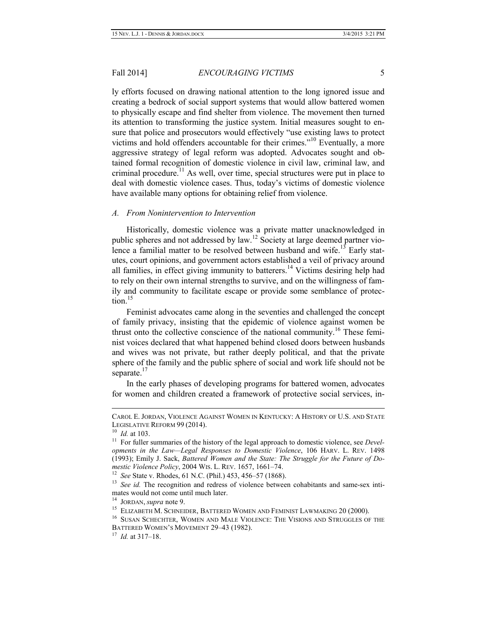ly efforts focused on drawing national attention to the long ignored issue and creating a bedrock of social support systems that would allow battered women to physically escape and find shelter from violence. The movement then turned its attention to transforming the justice system. Initial measures sought to ensure that police and prosecutors would effectively "use existing laws to protect victims and hold offenders accountable for their crimes."<sup>10</sup> Eventually, a more aggressive strategy of legal reform was adopted. Advocates sought and obtained formal recognition of domestic violence in civil law, criminal law, and criminal procedure.<sup>11</sup> As well, over time, special structures were put in place to deal with domestic violence cases. Thus, today's victims of domestic violence have available many options for obtaining relief from violence.

#### *A. From Nonintervention to Intervention*

Historically, domestic violence was a private matter unacknowledged in public spheres and not addressed by law.<sup>12</sup> Society at large deemed partner violence a familial matter to be resolved between husband and wife.<sup>13</sup> Early statutes, court opinions, and government actors established a veil of privacy around all families, in effect giving immunity to batterers.<sup>14</sup> Victims desiring help had to rely on their own internal strengths to survive, and on the willingness of family and community to facilitate escape or provide some semblance of protec $tion$ <sup>15</sup>

Feminist advocates came along in the seventies and challenged the concept of family privacy, insisting that the epidemic of violence against women be thrust onto the collective conscience of the national community.<sup>16</sup> These feminist voices declared that what happened behind closed doors between husbands and wives was not private, but rather deeply political, and that the private sphere of the family and the public sphere of social and work life should not be separate.<sup>17</sup>

In the early phases of developing programs for battered women, advocates for women and children created a framework of protective social services, in-

CAROL E. JORDAN, VIOLENCE AGAINST WOMEN IN KENTUCKY: <sup>A</sup> HISTORY OF U.S. AND STATE LEGISLATIVE REFORM 99 (2014).

<sup>10</sup> *Id.* at 103.

<sup>&</sup>lt;sup>11</sup> For fuller summaries of the history of the legal approach to domestic violence, see *Developments in the Law—Legal Responses to Domestic Violence*, 106 HARV. L. REV. 1498 (1993); Emily J. Sack, *Battered Women and the State: The Struggle for the Future of Domestic Violence Policy*, 2004 WIS. L. REV. 1657, 1661–74.

<sup>12</sup> *See* State v. Rhodes, 61 N.C. (Phil.) 453, 456–57 (1868).

<sup>&</sup>lt;sup>13</sup> *See id.* The recognition and redress of violence between cohabitants and same-sex intimates would not come until much later.

<sup>14</sup> JORDAN, *supra* note 9.

<sup>&</sup>lt;sup>15</sup> ELIZABETH M. SCHNEIDER, BATTERED WOMEN AND FEMINIST LAWMAKING 20 (2000).

<sup>&</sup>lt;sup>16</sup> SUSAN SCHECHTER, WOMEN AND MALE VIOLENCE: THE VISIONS AND STRUGGLES OF THE BATTERED WOMEN'S MOVEMENT 29–43 (1982).

<sup>17</sup> *Id.* at 317–18.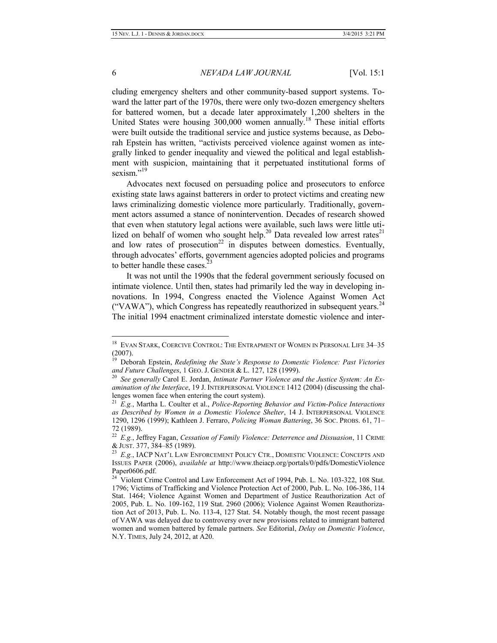cluding emergency shelters and other community-based support systems. Toward the latter part of the 1970s, there were only two-dozen emergency shelters for battered women, but a decade later approximately 1,200 shelters in the United States were housing  $300,000$  women annually.<sup>18</sup> These initial efforts were built outside the traditional service and justice systems because, as Deborah Epstein has written, "activists perceived violence against women as integrally linked to gender inequality and viewed the political and legal establishment with suspicion, maintaining that it perpetuated institutional forms of sexism."<sup>19</sup>

Advocates next focused on persuading police and prosecutors to enforce existing state laws against batterers in order to protect victims and creating new laws criminalizing domestic violence more particularly. Traditionally, government actors assumed a stance of nonintervention. Decades of research showed that even when statutory legal actions were available, such laws were little utilized on behalf of women who sought help.<sup>20</sup> Data revealed low arrest rates<sup>21</sup> and low rates of prosecution<sup>22</sup> in disputes between domestics. Eventually, through advocates' efforts, government agencies adopted policies and programs to better handle these cases.

It was not until the 1990s that the federal government seriously focused on intimate violence. Until then, states had primarily led the way in developing innovations. In 1994, Congress enacted the Violence Against Women Act ("VAWA"), which Congress has repeatedly reauthorized in subsequent years.<sup>24</sup> The initial 1994 enactment criminalized interstate domestic violence and inter-

 <sup>18</sup> EVAN STARK, COERCIVE CONTROL: THE ENTRAPMENT OF WOMEN IN PERSONAL LIFE 34–35 (2007).

<sup>19</sup> Deborah Epstein, *Redefining the State's Response to Domestic Violence: Past Victories and Future Challenges*, 1 GEO. J. GENDER & L. 127, 128 (1999).

See generally Carol E. Jordan, *Intimate Partner Violence and the Justice System: An Examination of the Interface*, 19 J. INTERPERSONAL VIOLENCE 1412 (2004) (discussing the challenges women face when entering the court system).

<sup>21</sup> *E.g.*, Martha L. Coulter et al., *Police-Reporting Behavior and Victim-Police Interactions as Described by Women in a Domestic Violence Shelter*, 14 J. INTERPERSONAL VIOLENCE 1290, 1296 (1999); Kathleen J. Ferraro, *Policing Woman Battering*, 36 SOC. PROBS. 61, 71– 72 (1989).

<sup>22</sup> *E.g.*, Jeffrey Fagan, *Cessation of Family Violence: Deterrence and Dissuasion*, 11 CRIME & JUST. 377, 384–85 (1989).

<sup>23</sup> *E.g.*, IACP NAT'L LAW ENFORCEMENT POLICY CTR., DOMESTIC VIOLENCE: CONCEPTS AND ISSUES PAPER (2006), *available at* http://www.theiacp.org/portals/0/pdfs/DomesticViolence Paper0606.pdf.

<sup>&</sup>lt;sup>24</sup> Violent Crime Control and Law Enforcement Act of 1994, Pub. L. No. 103-322, 108 Stat. 1796; Victims of Trafficking and Violence Protection Act of 2000, Pub. L. No. 106-386, 114 Stat. 1464; Violence Against Women and Department of Justice Reauthorization Act of 2005, Pub. L. No. 109-162, 119 Stat. 2960 (2006); Violence Against Women Reauthorization Act of 2013, Pub. L. No. 113-4, 127 Stat. 54. Notably though, the most recent passage of VAWA was delayed due to controversy over new provisions related to immigrant battered women and women battered by female partners. *See* Editorial, *Delay on Domestic Violence*, N.Y. TIMES, July 24, 2012, at A20.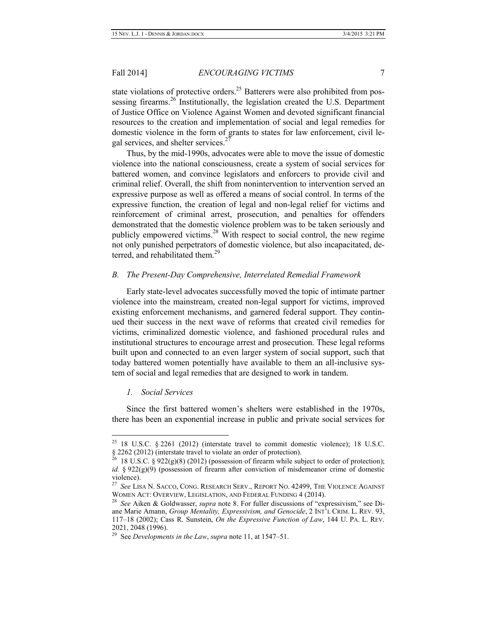state violations of protective orders.<sup>25</sup> Batterers were also prohibited from possessing firearms.<sup>26</sup> Institutionally, the legislation created the U.S. Department of Justice Office on Violence Against Women and devoted significant financial resources to the creation and implementation of social and legal remedies for domestic violence in the form of grants to states for law enforcement, civil legal services, and shelter services.<sup>2</sup>

Thus, by the mid-1990s, advocates were able to move the issue of domestic violence into the national consciousness, create a system of social services for battered women, and convince legislators and enforcers to provide civil and criminal relief. Overall, the shift from nonintervention to intervention served an expressive purpose as well as offered a means of social control. In terms of the expressive function, the creation of legal and non-legal relief for victims and reinforcement of criminal arrest, prosecution, and penalties for offenders demonstrated that the domestic violence problem was to be taken seriously and publicly empowered victims.<sup>28</sup> With respect to social control, the new regime not only punished perpetrators of domestic violence, but also incapacitated, deterred, and rehabilitated them.<sup>29</sup>

#### *B. The Present-Day Comprehensive, Interrelated Remedial Framework*

Early state-level advocates successfully moved the topic of intimate partner violence into the mainstream, created non-legal support for victims, improved existing enforcement mechanisms, and garnered federal support. They continued their success in the next wave of reforms that created civil remedies for victims, criminalized domestic violence, and fashioned procedural rules and institutional structures to encourage arrest and prosecution. These legal reforms built upon and connected to an even larger system of social support, such that today battered women potentially have available to them an all-inclusive system of social and legal remedies that are designed to work in tandem.

#### *1. Social Services*

Since the first battered women's shelters were established in the 1970s, there has been an exponential increase in public and private social services for

 $25$  18 U.S.C. § 2261 (2012) (interstate travel to commit domestic violence); 18 U.S.C.  $§ 2262 (2012)$  (interstate travel to violate an order of protection).

<sup>18</sup> U.S.C. § 922(g)(8) (2012) (possession of firearm while subject to order of protection); *id.* § 922(g)(9) (possession of firearm after conviction of misdemeanor crime of domestic violence).<br> $^{27}$  See L19

<sup>27</sup> *See* LISA N. SACCO, CONG. RESEARCH SERV., REPORT NO. 42499, THE VIOLENCE AGAINST WOMEN ACT: OVERVIEW, LEGISLATION, AND FEDERAL FUNDING 4 (2014).

<sup>28</sup> *See* Aiken & Goldwasser, *supra* note 8. For fuller discussions of "expressivism," see Diane Marie Amann, *Group Mentality, Expressivism, and Genocide*, 2 INT'L CRIM. L. REV. 93, 117–18 (2002); Cass R. Sunstein, *On the Expressive Function of Law*, 144 U. PA. L. REV. 2021, 2048 (1996).

<sup>29</sup> See *Developments in the Law*, *supra* note 11, at 1547–51.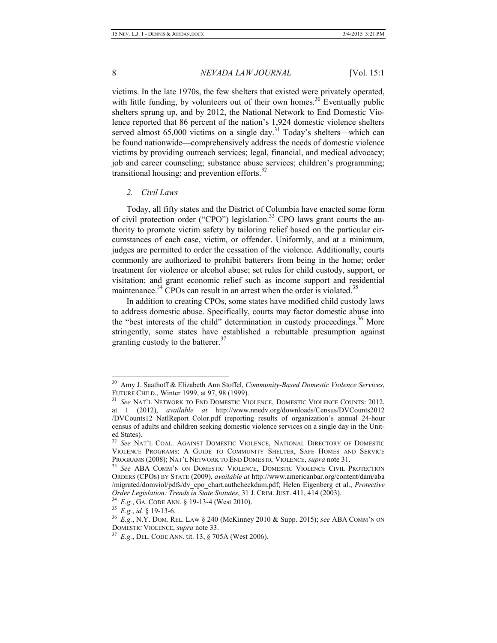victims. In the late 1970s, the few shelters that existed were privately operated, with little funding, by volunteers out of their own homes.<sup>30</sup> Eventually public shelters sprung up, and by 2012, the National Network to End Domestic Violence reported that 86 percent of the nation's 1,924 domestic violence shelters served almost  $65,000$  victims on a single day.<sup>31</sup> Today's shelters—which can be found nationwide—comprehensively address the needs of domestic violence victims by providing outreach services; legal, financial, and medical advocacy; job and career counseling; substance abuse services; children's programming; transitional housing; and prevention efforts. $32$ 

#### *2. Civil Laws*

Today, all fifty states and the District of Columbia have enacted some form of civil protection order ("CPO") legislation.<sup>33</sup> CPO laws grant courts the authority to promote victim safety by tailoring relief based on the particular circumstances of each case, victim, or offender. Uniformly, and at a minimum, judges are permitted to order the cessation of the violence. Additionally, courts commonly are authorized to prohibit batterers from being in the home; order treatment for violence or alcohol abuse; set rules for child custody, support, or visitation; and grant economic relief such as income support and residential maintenance. $34$  CPOs can result in an arrest when the order is violated. $35$ 

In addition to creating CPOs, some states have modified child custody laws to address domestic abuse. Specifically, courts may factor domestic abuse into the "best interests of the child" determination in custody proceedings.<sup>36</sup> More stringently, some states have established a rebuttable presumption against granting custody to the batterer.<sup>37</sup>

 <sup>30</sup> Amy J. Saathoff & Elizabeth Ann Stoffel, *Community-Based Domestic Violence Services*, FUTURE CHILD., Winter 1999, at 97, 98 (1999).

<sup>31</sup> *See* NAT'L NETWORK TO END DOMESTIC VIOLENCE, DOMESTIC VIOLENCE COUNTS: 2012, at 1 (2012), *available at* http://www.nnedv.org/downloads/Census/DVCounts2012 /DVCounts12\_NatlReport\_Color.pdf (reporting results of organization's annual 24-hour census of adults and children seeking domestic violence services on a single day in the United States).

<sup>32</sup> *See* NAT'L COAL. AGAINST DOMESTIC VIOLENCE, NATIONAL DIRECTORY OF DOMESTIC VIOLENCE PROGRAMS: A GUIDE TO COMMUNITY SHELTER, SAFE HOMES AND SERVICE PROGRAMS (2008); NAT'L NETWORK TO END DOMESTIC VIOLENCE, *supra* note 31.

<sup>33</sup> *See* ABA COMM'N ON DOMESTIC VIOLENCE, DOMESTIC VIOLENCE CIVIL PROTECTION ORDERS (CPOS) BY STATE (2009), *available at* http://www.americanbar.org/content/dam/aba /migrated/domviol/pdfs/dv\_cpo\_chart.authcheckdam.pdf; Helen Eigenberg et al., *Protective Order Legislation: Trends in State Statutes*, 31 J. CRIM. JUST. 411, 414 (2003).

<sup>34</sup> *E.g.*, GA. CODE ANN. § 19-13-4 (West 2010).

<sup>35</sup> *E.g.*, *id.* § 19-13-6.

<sup>36</sup> *E.g.*, N.Y. DOM. REL. LAW § 240 (McKinney 2010 & Supp. 2015); *see* ABA COMM'N ON DOMESTIC VIOLENCE, *supra* note 33.

<sup>37</sup> *E.g.*, DEL. CODE ANN. tit. 13, § 705A (West 2006).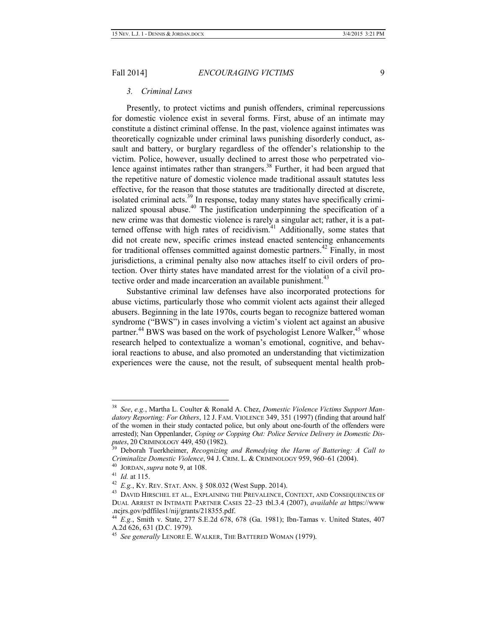#### *3. Criminal Laws*

Presently, to protect victims and punish offenders, criminal repercussions for domestic violence exist in several forms. First, abuse of an intimate may constitute a distinct criminal offense. In the past, violence against intimates was theoretically cognizable under criminal laws punishing disorderly conduct, assault and battery, or burglary regardless of the offender's relationship to the victim. Police, however, usually declined to arrest those who perpetrated violence against intimates rather than strangers.<sup>38</sup> Further, it had been argued that the repetitive nature of domestic violence made traditional assault statutes less effective, for the reason that those statutes are traditionally directed at discrete, isolated criminal acts. $39$  In response, today many states have specifically criminalized spousal abuse.<sup>40</sup> The justification underpinning the specification of a new crime was that domestic violence is rarely a singular act; rather, it is a patterned offense with high rates of recidivism.<sup>41</sup> Additionally, some states that did not create new, specific crimes instead enacted sentencing enhancements for traditional offenses committed against domestic partners.<sup>42</sup> Finally, in most jurisdictions, a criminal penalty also now attaches itself to civil orders of protection. Over thirty states have mandated arrest for the violation of a civil protective order and made incarceration an available punishment.<sup>43</sup>

Substantive criminal law defenses have also incorporated protections for abuse victims, particularly those who commit violent acts against their alleged abusers. Beginning in the late 1970s, courts began to recognize battered woman syndrome ("BWS") in cases involving a victim's violent act against an abusive partner.<sup>44</sup> BWS was based on the work of psychologist Lenore Walker,<sup>45</sup> whose research helped to contextualize a woman's emotional, cognitive, and behavioral reactions to abuse, and also promoted an understanding that victimization experiences were the cause, not the result, of subsequent mental health prob-

 <sup>38</sup> *See*, *e.g.*, Martha L. Coulter & Ronald A. Chez, *Domestic Violence Victims Support Mandatory Reporting: For Others*, 12 J. FAM. VIOLENCE 349, 351 (1997) (finding that around half of the women in their study contacted police, but only about one-fourth of the offenders were arrested); Nan Oppenlander, *Coping or Copping Out: Police Service Delivery in Domestic Disputes*, 20 CRIMINOLOGY 449, 450 (1982).

<sup>39</sup> Deborah Tuerkheimer, *Recognizing and Remedying the Harm of Battering: A Call to Criminalize Domestic Violence*, 94 J. CRIM. L. & CRIMINOLOGY 959, 960–61 (2004).

<sup>40</sup> JORDAN, *supra* note 9, at 108.

<sup>41</sup> *Id.* at 115.

<sup>42</sup> *E.g.*, KY. REV. STAT. ANN. § 508.032 (West Supp. 2014).

<sup>&</sup>lt;sup>43</sup> DAVID HIRSCHEL ET AL., EXPLAINING THE PREVALENCE, CONTEXT, AND CONSEQUENCES OF DUAL ARREST IN INTIMATE PARTNER CASES 22–23 tbl.3.4 (2007), *available at* https://www .ncjrs.gov/pdffiles1/nij/grants/218355.pdf.

<sup>44</sup> *E.g.*, Smith v. State, 277 S.E.2d 678, 678 (Ga. 1981); Ibn-Tamas v. United States, 407 A.2d 626, 631 (D.C. 1979).

<sup>45</sup> *See generally* LENORE E. WALKER, THE BATTERED WOMAN (1979).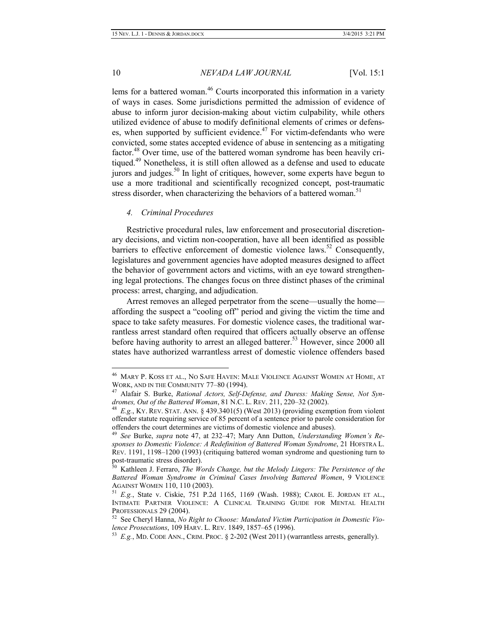lems for a battered woman.<sup>46</sup> Courts incorporated this information in a variety of ways in cases. Some jurisdictions permitted the admission of evidence of abuse to inform juror decision-making about victim culpability, while others utilized evidence of abuse to modify definitional elements of crimes or defenses, when supported by sufficient evidence.<sup>47</sup> For victim-defendants who were convicted, some states accepted evidence of abuse in sentencing as a mitigating factor.<sup>48</sup> Over time, use of the battered woman syndrome has been heavily critiqued.<sup>49</sup> Nonetheless, it is still often allowed as a defense and used to educate jurors and judges.<sup>50</sup> In light of critiques, however, some experts have begun to use a more traditional and scientifically recognized concept, post-traumatic stress disorder, when characterizing the behaviors of a battered woman.<sup>51</sup>

### *4. Criminal Procedures*

Restrictive procedural rules, law enforcement and prosecutorial discretionary decisions, and victim non-cooperation, have all been identified as possible barriers to effective enforcement of domestic violence laws.<sup>52</sup> Consequently, legislatures and government agencies have adopted measures designed to affect the behavior of government actors and victims, with an eye toward strengthening legal protections. The changes focus on three distinct phases of the criminal process: arrest, charging, and adjudication.

Arrest removes an alleged perpetrator from the scene—usually the home affording the suspect a "cooling off" period and giving the victim the time and space to take safety measures. For domestic violence cases, the traditional warrantless arrest standard often required that officers actually observe an offense before having authority to arrest an alleged batterer.<sup>53</sup> However, since 2000 all states have authorized warrantless arrest of domestic violence offenders based

 <sup>46</sup> MARY P. KOSS ET AL., NO SAFE HAVEN: MALE VIOLENCE AGAINST WOMEN AT HOME, AT WORK, AND IN THE COMMUNITY 77–80 (1994).

<sup>47</sup> Alafair S. Burke, *Rational Actors, Self-Defense, and Duress: Making Sense, Not Syndromes, Out of the Battered Woman*, 81 N.C. L. REV. 211, 220–32 (2002).

<sup>48</sup> *E.g.*, KY. REV. STAT. ANN. § 439.3401(5) (West 2013) (providing exemption from violent offender statute requiring service of 85 percent of a sentence prior to parole consideration for offenders the court determines are victims of domestic violence and abuses).

<sup>49</sup> *See* Burke, *supra* note 47, at 232–47; Mary Ann Dutton, *Understanding Women's Responses to Domestic Violence: A Redefinition of Battered Woman Syndrome*, 21 HOFSTRA L. REV. 1191, 1198–1200 (1993) (critiquing battered woman syndrome and questioning turn to post-traumatic stress disorder).

<sup>50</sup> Kathleen J. Ferraro, *The Words Change, but the Melody Lingers: The Persistence of the Battered Woman Syndrome in Criminal Cases Involving Battered Women*, 9 VIOLENCE AGAINST WOMEN 110, 110 (2003).

<sup>51</sup> *E.g.*, State v. Ciskie, 751 P.2d 1165, 1169 (Wash. 1988); CAROL E. JORDAN ET AL., INTIMATE PARTNER VIOLENCE: A CLINICAL TRAINING GUIDE FOR MENTAL HEALTH PROFESSIONALS 29 (2004).

<sup>52</sup> See Cheryl Hanna, *No Right to Choose: Mandated Victim Participation in Domestic Violence Prosecutions*, 109 HARV. L. REV. 1849, 1857–65 (1996).

<sup>53</sup> *E.g.*, MD. CODE ANN., CRIM. PROC. § 2-202 (West 2011) (warrantless arrests, generally).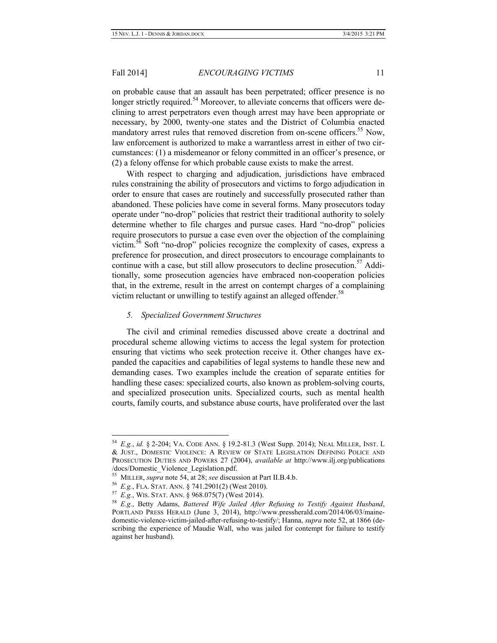on probable cause that an assault has been perpetrated; officer presence is no longer strictly required.<sup>54</sup> Moreover, to alleviate concerns that officers were declining to arrest perpetrators even though arrest may have been appropriate or necessary, by 2000, twenty-one states and the District of Columbia enacted mandatory arrest rules that removed discretion from on-scene officers.<sup>55</sup> Now, law enforcement is authorized to make a warrantless arrest in either of two circumstances: (1) a misdemeanor or felony committed in an officer's presence, or (2) a felony offense for which probable cause exists to make the arrest.

With respect to charging and adjudication, jurisdictions have embraced rules constraining the ability of prosecutors and victims to forgo adjudication in order to ensure that cases are routinely and successfully prosecuted rather than abandoned. These policies have come in several forms. Many prosecutors today operate under "no-drop" policies that restrict their traditional authority to solely determine whether to file charges and pursue cases. Hard "no-drop" policies require prosecutors to pursue a case even over the objection of the complaining victim.56 Soft "no-drop" policies recognize the complexity of cases, express a preference for prosecution, and direct prosecutors to encourage complainants to continue with a case, but still allow prosecutors to decline prosecution.<sup>57</sup> Additionally, some prosecution agencies have embraced non-cooperation policies that, in the extreme, result in the arrest on contempt charges of a complaining victim reluctant or unwilling to testify against an alleged offender.<sup>58</sup>

#### *5. Specialized Government Structures*

The civil and criminal remedies discussed above create a doctrinal and procedural scheme allowing victims to access the legal system for protection ensuring that victims who seek protection receive it. Other changes have expanded the capacities and capabilities of legal systems to handle these new and demanding cases. Two examples include the creation of separate entities for handling these cases: specialized courts, also known as problem-solving courts, and specialized prosecution units. Specialized courts, such as mental health courts, family courts, and substance abuse courts, have proliferated over the last

 <sup>54</sup> *E.g.*, *id.* § 2-204; VA. CODE ANN. § 19.2-81.3 (West Supp. 2014); NEAL MILLER, INST. <sup>L</sup> & JUST., DOMESTIC VIOLENCE: A REVIEW OF STATE LEGISLATION DEFINING POLICE AND PROSECUTION DUTIES AND POWERS 27 (2004), *available at* http://www.ilj.org/publications /docs/Domestic\_Violence\_Legislation.pdf.

<sup>55</sup> MILLER, *supra* note 54, at 28; *see* discussion at Part II.B.4.b.

<sup>56</sup> *E.g.*, FLA. STAT. ANN. § 741.2901(2) (West 2010).

<sup>57</sup> *E.g.*, WIS. STAT. ANN. § 968.075(7) (West 2014).

<sup>58</sup> *E.g.*, Betty Adams, *Battered Wife Jailed After Refusing to Testify Against Husband*, PORTLAND PRESS HERALD (June 3, 2014), http://www.pressherald.com/2014/06/03/mainedomestic-violence-victim-jailed-after-refusing-to-testify/; Hanna, *supra* note 52, at 1866 (describing the experience of Maudie Wall, who was jailed for contempt for failure to testify against her husband).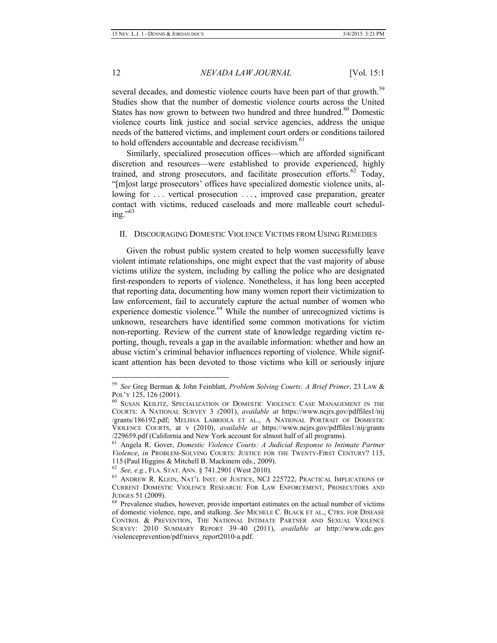several decades, and domestic violence courts have been part of that growth.<sup>59</sup> Studies show that the number of domestic violence courts across the United States has now grown to between two hundred and three hundred.<sup>60</sup> Domestic violence courts link justice and social service agencies, address the unique needs of the battered victims, and implement court orders or conditions tailored to hold offenders accountable and decrease recidivism.<sup>61</sup>

Similarly, specialized prosecution offices—which are afforded significant discretion and resources—were established to provide experienced, highly trained, and strong prosecutors, and facilitate prosecution efforts. $62$  Today, "[m]ost large prosecutors' offices have specialized domestic violence units, allowing for ... vertical prosecution ..., improved case preparation, greater contact with victims, reduced caseloads and more malleable court scheduling." $^{63}$ 

#### II. DISCOURAGING DOMESTIC VIOLENCE VICTIMS FROM USING REMEDIES

Given the robust public system created to help women successfully leave violent intimate relationships, one might expect that the vast majority of abuse victims utilize the system, including by calling the police who are designated first-responders to reports of violence. Nonetheless, it has long been accepted that reporting data, documenting how many women report their victimization to law enforcement, fail to accurately capture the actual number of women who experience domestic violence. $64$  While the number of unrecognized victims is unknown, researchers have identified some common motivations for victim non-reporting. Review of the current state of knowledge regarding victim reporting, though, reveals a gap in the available information: whether and how an abuse victim's criminal behavior influences reporting of violence. While significant attention has been devoted to those victims who kill or seriously injure

 <sup>59</sup> *See* Greg Berman & John Feinblatt, *Problem Solving Courts: A Brief Primer*, 23 LAW & POL'Y 125, 126 (2001).

<sup>60</sup> SUSAN KEILITZ, SPECIALIZATION OF DOMESTIC VIOLENCE CASE MANAGEMENT IN THE COURTS: A NATIONAL SURVEY 3 *(*2001), *available at* https://www.ncjrs.gov/pdffiles1/nij /grants/186192.pdf; MELISSA LABRIOLA ET AL., A NATIONAL PORTRAIT OF DOMESTIC VIOLENCE COURTS, at v (2010), *available at* https://www.ncjrs.gov/pdffiles1/nij/grants /229659.pdf (California and New York account for almost half of all programs).

<sup>61</sup> Angela R. Gover, *Domestic Violence Courts: A Judicial Response to Intimate Partner Violence*, *in* PROBLEM-SOLVING COURTS: JUSTICE FOR THE TWENTY-FIRST CENTURY? 115, 115 (Paul Higgins & Mitchell B. Mackinem eds., 2009).

<sup>62</sup> *See, e.g.*, FLA. STAT. ANN. § 741.2901 (West 2010).

<sup>&</sup>lt;sup>63</sup> ANDREW R. KLEIN, NAT'L INST. OF JUSTICE, NCJ 225722, PRACTICAL IMPLICATIONS OF CURRENT DOMESTIC VIOLENCE RESEARCH: FOR LAW ENFORCEMENT, PROSECUTORS AND JUDGES 51 (2009).

<sup>&</sup>lt;sup>64</sup> Prevalence studies, however, provide important estimates on the actual number of victims of domestic violence, rape, and stalking. *See* MICHELE C. BLACK ET AL., CTRS. FOR DISEASE CONTROL & PREVENTION, THE NATIONAL INTIMATE PARTNER AND SEXUAL VIOLENCE SURVEY: 2010 SUMMARY REPORT 39–40 (2011), *available at* http://www.cdc.gov /violenceprevention/pdf/nisvs\_report2010-a.pdf.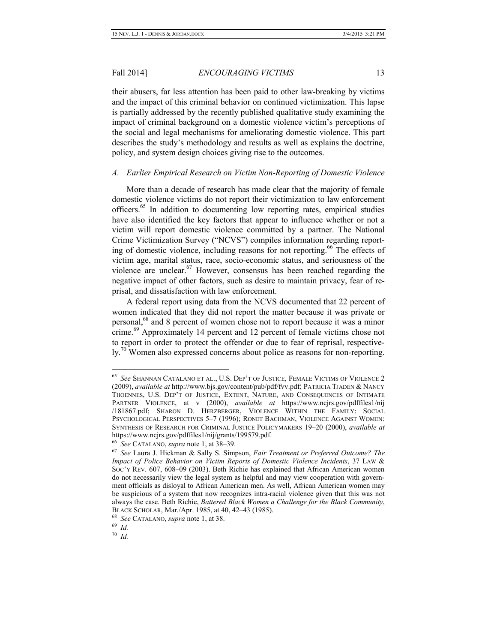their abusers, far less attention has been paid to other law-breaking by victims and the impact of this criminal behavior on continued victimization. This lapse is partially addressed by the recently published qualitative study examining the impact of criminal background on a domestic violence victim's perceptions of the social and legal mechanisms for ameliorating domestic violence. This part describes the study's methodology and results as well as explains the doctrine, policy, and system design choices giving rise to the outcomes.

#### *A. Earlier Empirical Research on Victim Non-Reporting of Domestic Violence*

More than a decade of research has made clear that the majority of female domestic violence victims do not report their victimization to law enforcement officers.<sup>65</sup> In addition to documenting low reporting rates, empirical studies have also identified the key factors that appear to influence whether or not a victim will report domestic violence committed by a partner. The National Crime Victimization Survey ("NCVS") compiles information regarding reporting of domestic violence, including reasons for not reporting.<sup>66</sup> The effects of victim age, marital status, race, socio-economic status, and seriousness of the violence are unclear.<sup>67</sup> However, consensus has been reached regarding the negative impact of other factors, such as desire to maintain privacy, fear of reprisal, and dissatisfaction with law enforcement.

A federal report using data from the NCVS documented that 22 percent of women indicated that they did not report the matter because it was private or personal,<sup>68</sup> and 8 percent of women chose not to report because it was a minor crime.<sup>69</sup> Approximately 14 percent and 12 percent of female victims chose not to report in order to protect the offender or due to fear of reprisal, respectively.<sup>70</sup> Women also expressed concerns about police as reasons for non-reporting.

 <sup>65</sup> *See* SHANNAN CATALANO ET AL., U.S. DEP'T OF JUSTICE, FEMALE VICTIMS OF VIOLENCE <sup>2</sup> (2009), *available at* http://www.bjs.gov/content/pub/pdf/fvv.pdf; PATRICIA TJADEN & NANCY THOENNES, U.S. DEP'T OF JUSTICE, EXTENT, NATURE, AND CONSEQUENCES OF INTIMATE PARTNER VIOLENCE, at v (2000), *available at* https://www.ncjrs.gov/pdffiles1/nij /181867.pdf; SHARON D. HERZBERGER, VIOLENCE WITHIN THE FAMILY: SOCIAL PSYCHOLOGICAL PERSPECTIVES 5–7 (1996); RONET BACHMAN, VIOLENCE AGAINST WOMEN: SYNTHESIS OF RESEARCH FOR CRIMINAL JUSTICE POLICYMAKERS 19–20 (2000), *available at* https://www.ncjrs.gov/pdffiles1/nij/grants/199579.pdf.

<sup>66</sup> *See* CATALANO, *supra* note 1, at 38–39.

<sup>67</sup> *See* Laura J. Hickman & Sally S. Simpson, *Fair Treatment or Preferred Outcome? The Impact of Police Behavior on Victim Reports of Domestic Violence Incidents*, 37 LAW & SOC'Y REV. 607, 608–09 (2003). Beth Richie has explained that African American women do not necessarily view the legal system as helpful and may view cooperation with government officials as disloyal to African American men. As well, African American women may be suspicious of a system that now recognizes intra-racial violence given that this was not always the case. Beth Richie, *Battered Black Women a Challenge for the Black Community*, BLACK SCHOLAR, Mar./Apr. 1985, at 40, 42–43 (1985).

<sup>68</sup> *See* CATALANO, *supra* note 1, at 38.

<sup>69</sup> *Id.*

<sup>70</sup> *Id.*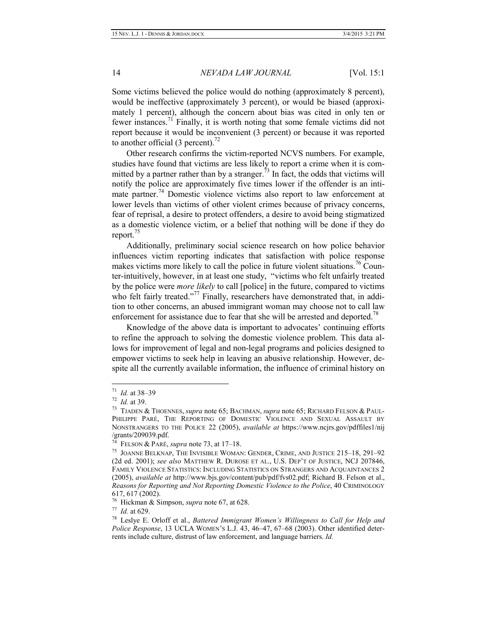Some victims believed the police would do nothing (approximately 8 percent), would be ineffective (approximately 3 percent), or would be biased (approximately 1 percent), although the concern about bias was cited in only ten or fewer instances.<sup>71</sup> Finally, it is worth noting that some female victims did not report because it would be inconvenient (3 percent) or because it was reported to another official (3 percent). $^{72}$ 

Other research confirms the victim-reported NCVS numbers. For example, studies have found that victims are less likely to report a crime when it is committed by a partner rather than by a stranger.<sup>73</sup> In fact, the odds that victims will notify the police are approximately five times lower if the offender is an intimate partner.<sup>74</sup> Domestic violence victims also report to law enforcement at lower levels than victims of other violent crimes because of privacy concerns, fear of reprisal, a desire to protect offenders, a desire to avoid being stigmatized as a domestic violence victim, or a belief that nothing will be done if they do report.<sup>75</sup>

Additionally, preliminary social science research on how police behavior influences victim reporting indicates that satisfaction with police response makes victims more likely to call the police in future violent situations.<sup>76</sup> Counter-intuitively, however, in at least one study, "victims who felt unfairly treated by the police were *more likely* to call [police] in the future, compared to victims who felt fairly treated."<sup>77</sup> Finally, researchers have demonstrated that, in addition to other concerns, an abused immigrant woman may choose not to call law enforcement for assistance due to fear that she will be arrested and deported.<sup>78</sup>

Knowledge of the above data is important to advocates' continuing efforts to refine the approach to solving the domestic violence problem. This data allows for improvement of legal and non-legal programs and policies designed to empower victims to seek help in leaving an abusive relationship. However, despite all the currently available information, the influence of criminal history on

 <sup>71</sup> *Id.* at 38–39

<sup>72</sup> *Id.* at 39.

<sup>73</sup> TJADEN & THOENNES, *supra* note 65; BACHMAN, *supra* note 65; RICHARD FELSON & PAUL-PHILIPPE PARÉ, THE REPORTING OF DOMESTIC VIOLENCE AND SEXUAL ASSAULT BY NONSTRANGERS TO THE POLICE 22 (2005), *available at* https://www.ncjrs.gov/pdffiles1/nij /grants/209039.pdf.

<sup>74</sup> FELSON & PARÉ, *supra* note 73, at 17–18.

<sup>75</sup> JOANNE BELKNAP, THE INVISIBLE WOMAN: GENDER, CRIME, AND JUSTICE 215–18, 291–92 (2d ed. 2001); *see also* MATTHEW R. DUROSE ET AL., U.S. DEP'T OF JUSTICE, NCJ 207846, FAMILY VIOLENCE STATISTICS: INCLUDING STATISTICS ON STRANGERS AND ACQUAINTANCES 2 (2005), *available at* http://www.bjs.gov/content/pub/pdf/fvs02.pdf; Richard B. Felson et al., *Reasons for Reporting and Not Reporting Domestic Violence to the Police*, 40 CRIMINOLOGY 617, 617 (2002).

<sup>76</sup> Hickman & Simpson, *supra* note 67, at 628.

<sup>77</sup> *Id.* at 629.

<sup>78</sup> Leslye E. Orloff et al., *Battered Immigrant Women's Willingness to Call for Help and Police Response*, 13 UCLA WOMEN'S L.J. 43, 46–47, 67–68 (2003). Other identified deterrents include culture, distrust of law enforcement, and language barriers. *Id.*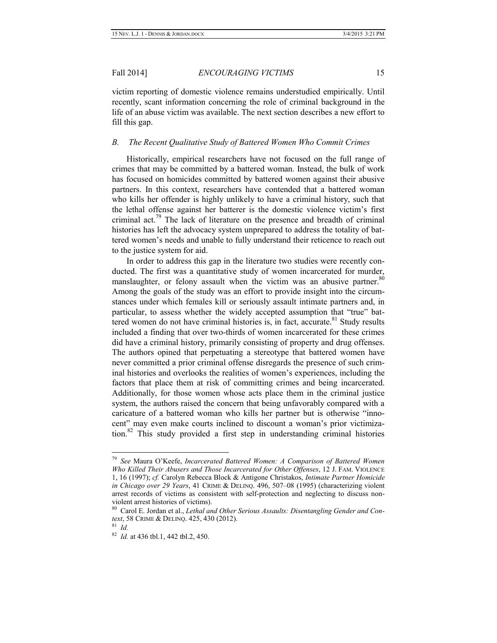victim reporting of domestic violence remains understudied empirically. Until recently, scant information concerning the role of criminal background in the life of an abuse victim was available. The next section describes a new effort to fill this gap.

#### *B. The Recent Qualitative Study of Battered Women Who Commit Crimes*

Historically, empirical researchers have not focused on the full range of crimes that may be committed by a battered woman. Instead, the bulk of work has focused on homicides committed by battered women against their abusive partners. In this context, researchers have contended that a battered woman who kills her offender is highly unlikely to have a criminal history, such that the lethal offense against her batterer is the domestic violence victim's first criminal act.<sup>79</sup> The lack of literature on the presence and breadth of criminal histories has left the advocacy system unprepared to address the totality of battered women's needs and unable to fully understand their reticence to reach out to the justice system for aid.

In order to address this gap in the literature two studies were recently conducted. The first was a quantitative study of women incarcerated for murder, manslaughter, or felony assault when the victim was an abusive partner.<sup>80</sup> Among the goals of the study was an effort to provide insight into the circumstances under which females kill or seriously assault intimate partners and, in particular, to assess whether the widely accepted assumption that "true" battered women do not have criminal histories is, in fact, accurate.<sup>81</sup> Study results included a finding that over two-thirds of women incarcerated for these crimes did have a criminal history, primarily consisting of property and drug offenses. The authors opined that perpetuating a stereotype that battered women have never committed a prior criminal offense disregards the presence of such criminal histories and overlooks the realities of women's experiences, including the factors that place them at risk of committing crimes and being incarcerated. Additionally, for those women whose acts place them in the criminal justice system, the authors raised the concern that being unfavorably compared with a caricature of a battered woman who kills her partner but is otherwise "innocent" may even make courts inclined to discount a woman's prior victimization.<sup>82</sup> This study provided a first step in understanding criminal histories

 <sup>79</sup> *See* Maura O'Keefe, *Incarcerated Battered Women: A Comparison of Battered Women Who Killed Their Abusers and Those Incarcerated for Other Offenses*, 12 J. FAM. VIOLENCE 1, 16 (1997); *cf.* Carolyn Rebecca Block & Antigone Christakos, *Intimate Partner Homicide in Chicago over 29 Years*, 41 CRIME & DELINQ. 496, 507–08 (1995) (characterizing violent arrest records of victims as consistent with self-protection and neglecting to discuss nonviolent arrest histories of victims).

<sup>80</sup> Carol E. Jordan et al., *Lethal and Other Serious Assaults: Disentangling Gender and Context*, 58 CRIME & DELINQ. 425, 430 (2012).

<sup>81</sup> *Id.*

<sup>82</sup> *Id.* at 436 tbl.1, 442 tbl.2, 450.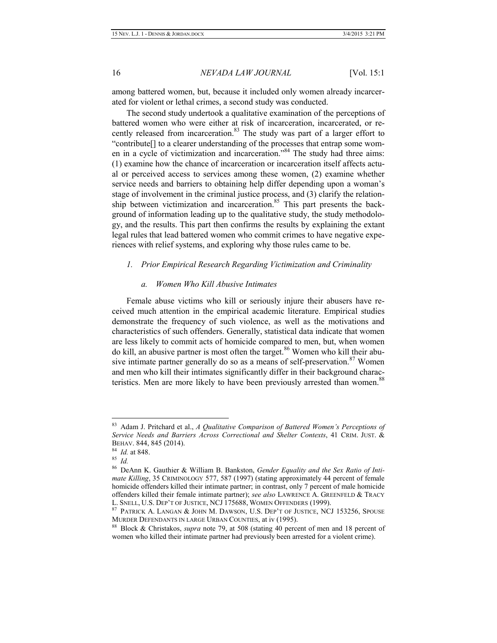among battered women, but, because it included only women already incarcerated for violent or lethal crimes, a second study was conducted.

The second study undertook a qualitative examination of the perceptions of battered women who were either at risk of incarceration, incarcerated, or recently released from incarceration.<sup>83</sup> The study was part of a larger effort to "contribute[] to a clearer understanding of the processes that entrap some women in a cycle of victimization and incarceration.<sup>84</sup> The study had three aims: (1) examine how the chance of incarceration or incarceration itself affects actual or perceived access to services among these women, (2) examine whether service needs and barriers to obtaining help differ depending upon a woman's stage of involvement in the criminal justice process, and (3) clarify the relationship between victimization and incarceration.<sup>85</sup> This part presents the background of information leading up to the qualitative study, the study methodology, and the results. This part then confirms the results by explaining the extant legal rules that lead battered women who commit crimes to have negative experiences with relief systems, and exploring why those rules came to be.

#### *1. Prior Empirical Research Regarding Victimization and Criminality*

#### *a. Women Who Kill Abusive Intimates*

Female abuse victims who kill or seriously injure their abusers have received much attention in the empirical academic literature. Empirical studies demonstrate the frequency of such violence, as well as the motivations and characteristics of such offenders. Generally, statistical data indicate that women are less likely to commit acts of homicide compared to men, but, when women do kill, an abusive partner is most often the target.<sup>86</sup> Women who kill their abusive intimate partner generally do so as a means of self-preservation.<sup>87</sup> Women and men who kill their intimates significantly differ in their background characteristics. Men are more likely to have been previously arrested than women.<sup>88</sup>

 <sup>83</sup> Adam J. Pritchard et al., *A Qualitative Comparison of Battered Women's Perceptions of Service Needs and Barriers Across Correctional and Shelter Contexts*, 41 CRIM. JUST. & BEHAV. 844, 845 (2014).

<sup>84</sup> *Id.* at 848.

<sup>85</sup> *Id.*

<sup>86</sup> DeAnn K. Gauthier & William B. Bankston, *Gender Equality and the Sex Ratio of Intimate Killing*, 35 CRIMINOLOGY 577, 587 (1997) (stating approximately 44 percent of female homicide offenders killed their intimate partner; in contrast, only 7 percent of male homicide offenders killed their female intimate partner); *see also* LAWRENCE A. GREENFELD & TRACY L. SNELL, U.S. DEP'T OF JUSTICE, NCJ 175688, WOMEN OFFENDERS (1999).

<sup>87</sup> PATRICK A. LANGAN & JOHN M. DAWSON, U.S. DEP'T OF JUSTICE, NCJ 153256, SPOUSE MURDER DEFENDANTS IN LARGE URBAN COUNTIES, at iv (1995).

<sup>88</sup> Block & Christakos, *supra* note 79, at 508 (stating 40 percent of men and 18 percent of women who killed their intimate partner had previously been arrested for a violent crime).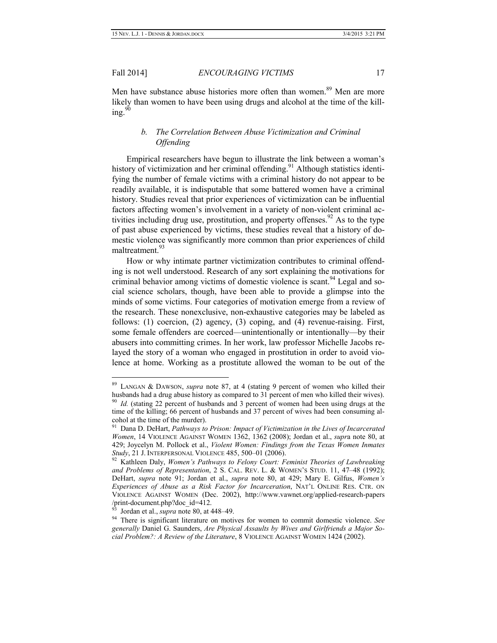Men have substance abuse histories more often than women.<sup>89</sup> Men are more likely than women to have been using drugs and alcohol at the time of the killing. $90$ 

# *b. The Correlation Between Abuse Victimization and Criminal Offending*

Empirical researchers have begun to illustrate the link between a woman's history of victimization and her criminal offending.<sup>91</sup> Although statistics identifying the number of female victims with a criminal history do not appear to be readily available, it is indisputable that some battered women have a criminal history. Studies reveal that prior experiences of victimization can be influential factors affecting women's involvement in a variety of non-violent criminal activities including drug use, prostitution, and property offenses.<sup>92</sup> As to the type of past abuse experienced by victims, these studies reveal that a history of domestic violence was significantly more common than prior experiences of child maltreatment.<sup>93</sup>

How or why intimate partner victimization contributes to criminal offending is not well understood. Research of any sort explaining the motivations for criminal behavior among victims of domestic violence is scant.<sup>94</sup> Legal and social science scholars, though, have been able to provide a glimpse into the minds of some victims. Four categories of motivation emerge from a review of the research. These nonexclusive, non-exhaustive categories may be labeled as follows: (1) coercion, (2) agency, (3) coping, and (4) revenue-raising. First, some female offenders are coerced—unintentionally or intentionally—by their abusers into committing crimes. In her work, law professor Michelle Jacobs relayed the story of a woman who engaged in prostitution in order to avoid violence at home. Working as a prostitute allowed the woman to be out of the

 <sup>89</sup> LANGAN & DAWSON, *supra* note 87, at 4 (stating 9 percent of women who killed their husbands had a drug abuse history as compared to 31 percent of men who killed their wives). <sup>90</sup> *Id.* (stating 22 percent of husbands and 3 percent of women had been using drugs at the time of the killing; 66 percent of husbands and 37 percent of wives had been consuming alcohol at the time of the murder).

<sup>91</sup> Dana D. DeHart, *Pathways to Prison: Impact of Victimization in the Lives of Incarcerated Women*, 14 VIOLENCE AGAINST WOMEN 1362, 1362 (2008); Jordan et al., *supr*a note 80, at 429; Joycelyn M. Pollock et al., *Violent Women: Findings from the Texas Women Inmates Study*, 21 J. INTERPERSONAL VIOLENCE 485, 500–01 (2006).

<sup>92</sup> Kathleen Daly, *Women's Pathways to Felony Court: Feminist Theories of Lawbreaking and Problems of Representation*, 2 S. CAL. REV. L. & WOMEN'S STUD. 11, 47–48 (1992); DeHart, *supra* note 91; Jordan et al., *supra* note 80, at 429; Mary E. Gilfus, *Women's Experiences of Abuse as a Risk Factor for Incarceration*, NAT'L ONLINE RES. CTR. ON VIOLENCE AGAINST WOMEN (Dec. 2002), http://www.vawnet.org/applied-research-papers /print-document.php?doc\_id=412.

<sup>93</sup> Jordan et al., *supra* note 80, at 448–49.

<sup>94</sup> There is significant literature on motives for women to commit domestic violence. *See generally* Daniel G. Saunders, *Are Physical Assaults by Wives and Girlfriends a Major Social Problem?: A Review of the Literature*, 8 VIOLENCE AGAINST WOMEN 1424 (2002).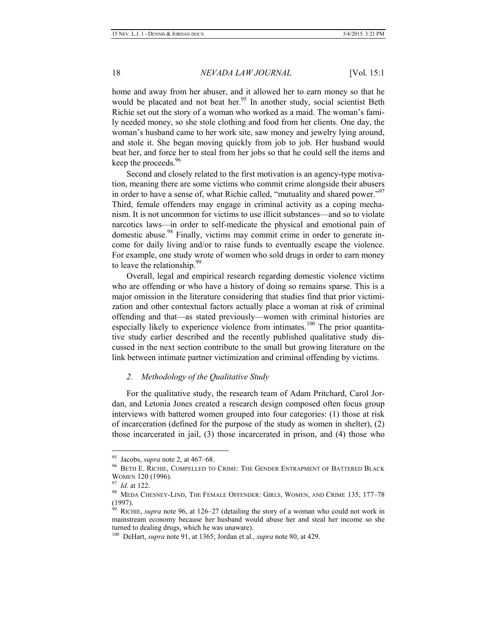home and away from her abuser, and it allowed her to earn money so that he would be placated and not beat her.<sup>95</sup> In another study, social scientist Beth Richie set out the story of a woman who worked as a maid. The woman's family needed money, so she stole clothing and food from her clients. One day, the woman's husband came to her work site, saw money and jewelry lying around, and stole it. She began moving quickly from job to job. Her husband would beat her, and force her to steal from her jobs so that he could sell the items and keep the proceeds.<sup>96</sup>

Second and closely related to the first motivation is an agency-type motivation, meaning there are some victims who commit crime alongside their abusers in order to have a sense of, what Richie called, "mutuality and shared power."<sup>97</sup> Third, female offenders may engage in criminal activity as a coping mechanism. It is not uncommon for victims to use illicit substances—and so to violate narcotics laws—in order to self-medicate the physical and emotional pain of domestic abuse.<sup>98</sup> Finally, victims may commit crime in order to generate income for daily living and/or to raise funds to eventually escape the violence. For example, one study wrote of women who sold drugs in order to earn money to leave the relationship.<sup>9</sup>

Overall, legal and empirical research regarding domestic violence victims who are offending or who have a history of doing so remains sparse. This is a major omission in the literature considering that studies find that prior victimization and other contextual factors actually place a woman at risk of criminal offending and that—as stated previously—women with criminal histories are especially likely to experience violence from intimates.<sup>100</sup> The prior quantitative study earlier described and the recently published qualitative study discussed in the next section contribute to the small but growing literature on the link between intimate partner victimization and criminal offending by victims.

#### *2. Methodology of the Qualitative Study*

For the qualitative study, the research team of Adam Pritchard, Carol Jordan, and Letonia Jones created a research design composed often focus group interviews with battered women grouped into four categories: (1) those at risk of incarceration (defined for the purpose of the study as women in shelter), (2) those incarcerated in jail, (3) those incarcerated in prison, and (4) those who

 <sup>95</sup> Jacobs, *supra* note 2, at 467–68.

BETH E. RICHIE, COMPELLED TO CRIME: THE GENDER ENTRAPMENT OF BATTERED BLACK WOMEN 120 (1996).

<sup>97</sup> *Id.* at 122.

 $^{98}$  MEDA CHESNEY-LIND, THE FEMALE OFFENDER: GIRLS, WOMEN, AND CRIME 135, 177-78 (1997).

<sup>99</sup> RICHIE, *supra* note 96, at 126–27 (detailing the story of a woman who could not work in mainstream economy because her husband would abuse her and steal her income so she turned to dealing drugs, which he was unaware).

<sup>100</sup> DeHart, *supra* note 91, at 1365; Jordan et al., *supra* note 80, at 429.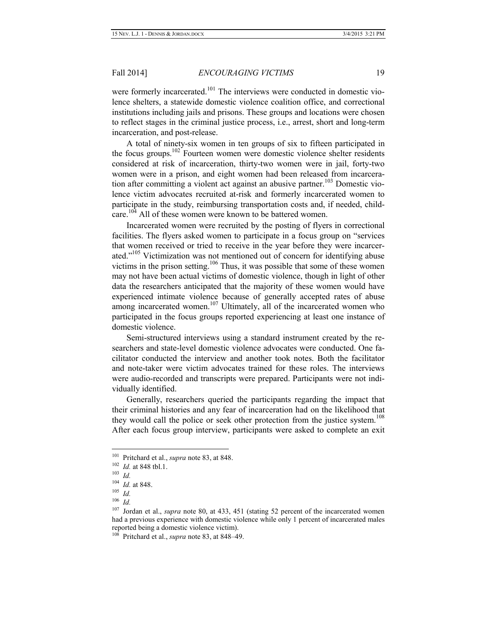were formerly incarcerated.<sup>101</sup> The interviews were conducted in domestic violence shelters, a statewide domestic violence coalition office, and correctional institutions including jails and prisons. These groups and locations were chosen to reflect stages in the criminal justice process, i.e., arrest, short and long-term incarceration, and post-release.

A total of ninety-six women in ten groups of six to fifteen participated in the focus groups.<sup>102</sup> Fourteen women were domestic violence shelter residents considered at risk of incarceration, thirty-two women were in jail, forty-two women were in a prison, and eight women had been released from incarceration after committing a violent act against an abusive partner.<sup>103</sup> Domestic violence victim advocates recruited at-risk and formerly incarcerated women to participate in the study, reimbursing transportation costs and, if needed, childcare.<sup>104</sup> All of these women were known to be battered women.

Incarcerated women were recruited by the posting of flyers in correctional facilities. The flyers asked women to participate in a focus group on "services that women received or tried to receive in the year before they were incarcerated."<sup>105</sup> Victimization was not mentioned out of concern for identifying abuse victims in the prison setting.<sup>106</sup> Thus, it was possible that some of these women may not have been actual victims of domestic violence, though in light of other data the researchers anticipated that the majority of these women would have experienced intimate violence because of generally accepted rates of abuse among incarcerated women.<sup>107</sup> Ultimately, all of the incarcerated women who participated in the focus groups reported experiencing at least one instance of domestic violence.

Semi-structured interviews using a standard instrument created by the researchers and state-level domestic violence advocates were conducted. One facilitator conducted the interview and another took notes. Both the facilitator and note-taker were victim advocates trained for these roles. The interviews were audio-recorded and transcripts were prepared. Participants were not individually identified.

Generally, researchers queried the participants regarding the impact that their criminal histories and any fear of incarceration had on the likelihood that they would call the police or seek other protection from the justice system.<sup>108</sup> After each focus group interview, participants were asked to complete an exit

 <sup>101</sup> Pritchard et al., *supra* note 83, at 848.

<sup>102</sup> *Id.* at 848 tbl.1.

<sup>103</sup> *Id.*

<sup>104</sup> *Id.* at 848.

<sup>105</sup> *Id.*

<sup>106</sup> *Id.*

<sup>&</sup>lt;sup>107</sup> Jordan et al., *supra* note 80, at 433, 451 (stating 52 percent of the incarcerated women had a previous experience with domestic violence while only 1 percent of incarcerated males reported being a domestic violence victim).

<sup>108</sup> Pritchard et al., *supra* note 83, at 848–49.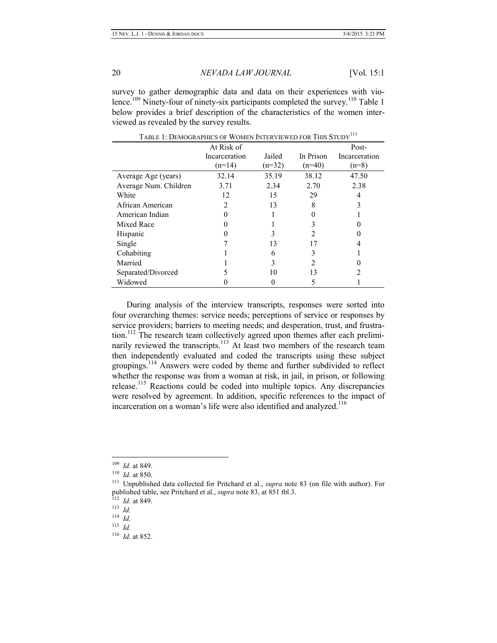survey to gather demographic data and data on their experiences with violence.<sup>109</sup> Ninety-four of ninety-six participants completed the survey.<sup>110</sup> Table 1 below provides a brief description of the characteristics of the women interviewed as revealed by the survey results.

|                       | At Risk of    |          |           | Post-         |
|-----------------------|---------------|----------|-----------|---------------|
|                       | Incarceration | Jailed   | In Prison | Incarceration |
|                       | $(n=14)$      | $(n=32)$ | $(n=40)$  | $(n=8)$       |
| Average Age (years)   | 32.14         | 35.19    | 38.12     | 47.50         |
| Average Num. Children | 3.71          | 2.34     | 2.70      | 2.38          |
| White                 | 12            | 15       | 29        |               |
| African American      |               | 13       | 8         |               |
| American Indian       |               |          |           |               |
| Mixed Race            |               |          |           |               |
| <b>Hispanic</b>       |               |          |           |               |
| Single                |               | 13       |           |               |
| Cohabiting            |               | 6        |           |               |
| Married               |               | 3        |           |               |
| Separated/Divorced    |               | 10       | 13        |               |
| Widowed               |               | 0        |           |               |

TABLE 1: DEMOGRAPHICS OF WOMEN INTERVIEWED FOR THIS STUDY<sup>111</sup>

During analysis of the interview transcripts, responses were sorted into four overarching themes: service needs; perceptions of service or responses by service providers; barriers to meeting needs; and desperation, trust, and frustration.<sup>112</sup> The research team collectively agreed upon themes after each preliminarily reviewed the transcripts.<sup>113</sup> At least two members of the research team then independently evaluated and coded the transcripts using these subject groupings.<sup>114</sup> Answers were coded by theme and further subdivided to reflect whether the response was from a woman at risk, in jail, in prison, or following release.<sup>115</sup> Reactions could be coded into multiple topics. Any discrepancies were resolved by agreement. In addition, specific references to the impact of incarceration on a woman's life were also identified and analyzed.<sup>116</sup>

 <sup>109</sup> *Id.* at 849.

<sup>110</sup> *Id.* at 850.

<sup>111</sup> Unpublished data collected for Pritchard et al., *supra* note 83 (on file with author). For published table, see Pritchard et al., *supra* note 83, at 851 tbl.3.

<sup>112</sup> *Id.* at 849.

 $\frac{1}{113}$   $\frac{1}{1}$ *M*.

<sup>114</sup> *Id.*

 $115$  *Id.* 

<sup>116</sup> *Id.* at 852.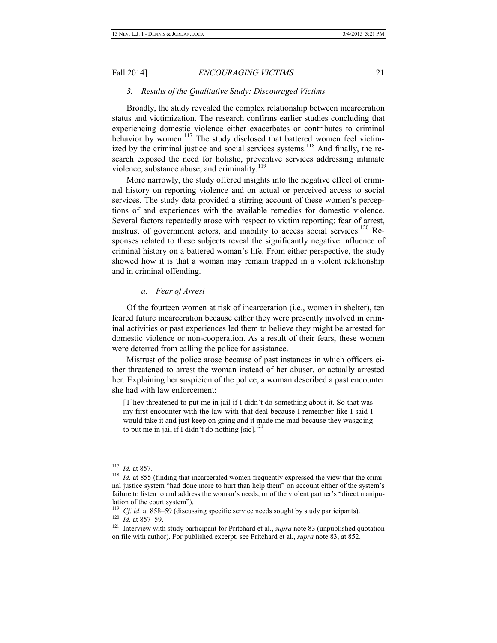#### *3. Results of the Qualitative Study: Discouraged Victims*

Broadly, the study revealed the complex relationship between incarceration status and victimization. The research confirms earlier studies concluding that experiencing domestic violence either exacerbates or contributes to criminal behavior by women.<sup>117</sup> The study disclosed that battered women feel victimized by the criminal justice and social services systems.<sup>118</sup> And finally, the research exposed the need for holistic, preventive services addressing intimate violence, substance abuse, and criminality.<sup>119</sup>

More narrowly, the study offered insights into the negative effect of criminal history on reporting violence and on actual or perceived access to social services. The study data provided a stirring account of these women's perceptions of and experiences with the available remedies for domestic violence. Several factors repeatedly arose with respect to victim reporting: fear of arrest, mistrust of government actors, and inability to access social services.<sup>120</sup> Responses related to these subjects reveal the significantly negative influence of criminal history on a battered woman's life. From either perspective, the study showed how it is that a woman may remain trapped in a violent relationship and in criminal offending.

#### *a. Fear of Arrest*

Of the fourteen women at risk of incarceration (i.e., women in shelter), ten feared future incarceration because either they were presently involved in criminal activities or past experiences led them to believe they might be arrested for domestic violence or non-cooperation. As a result of their fears, these women were deterred from calling the police for assistance.

Mistrust of the police arose because of past instances in which officers either threatened to arrest the woman instead of her abuser, or actually arrested her. Explaining her suspicion of the police, a woman described a past encounter she had with law enforcement:

[T]hey threatened to put me in jail if I didn't do something about it. So that was my first encounter with the law with that deal because I remember like I said I would take it and just keep on going and it made me mad because they wasgoing to put me in jail if I didn't do nothing [sic]. $^{121}$ 

 <sup>117</sup> *Id.* at 857.

<sup>&</sup>lt;sup>118</sup> *Id.* at 855 (finding that incarcerated women frequently expressed the view that the criminal justice system "had done more to hurt than help them" on account either of the system's failure to listen to and address the woman's needs, or of the violent partner's "direct manipulation of the court system").

<sup>&</sup>lt;sup>119</sup> *Cf. id.* at 858–59 (discussing specific service needs sought by study participants).

 $120$  *Id.* at 857–59.

<sup>&</sup>lt;sup>121</sup> Interview with study participant for Pritchard et al., *supra* note 83 (unpublished quotation on file with author). For published excerpt, see Pritchard et al., *supra* note 83, at 852.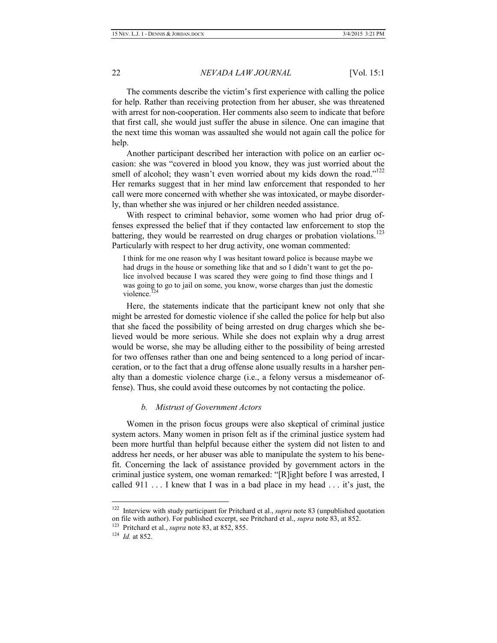The comments describe the victim's first experience with calling the police for help. Rather than receiving protection from her abuser, she was threatened with arrest for non-cooperation. Her comments also seem to indicate that before that first call, she would just suffer the abuse in silence. One can imagine that the next time this woman was assaulted she would not again call the police for help.

Another participant described her interaction with police on an earlier occasion: she was "covered in blood you know, they was just worried about the smell of alcohol; they wasn't even worried about my kids down the road."<sup>122</sup> Her remarks suggest that in her mind law enforcement that responded to her call were more concerned with whether she was intoxicated, or maybe disorderly, than whether she was injured or her children needed assistance.

With respect to criminal behavior, some women who had prior drug offenses expressed the belief that if they contacted law enforcement to stop the battering, they would be rearrested on drug charges or probation violations.<sup>123</sup> Particularly with respect to her drug activity, one woman commented:

I think for me one reason why I was hesitant toward police is because maybe we had drugs in the house or something like that and so I didn't want to get the police involved because I was scared they were going to find those things and I was going to go to jail on some, you know, worse charges than just the domestic violence.<sup>124</sup>

Here, the statements indicate that the participant knew not only that she might be arrested for domestic violence if she called the police for help but also that she faced the possibility of being arrested on drug charges which she believed would be more serious. While she does not explain why a drug arrest would be worse, she may be alluding either to the possibility of being arrested for two offenses rather than one and being sentenced to a long period of incarceration, or to the fact that a drug offense alone usually results in a harsher penalty than a domestic violence charge (i.e., a felony versus a misdemeanor offense). Thus, she could avoid these outcomes by not contacting the police.

#### *b. Mistrust of Government Actors*

Women in the prison focus groups were also skeptical of criminal justice system actors. Many women in prison felt as if the criminal justice system had been more hurtful than helpful because either the system did not listen to and address her needs, or her abuser was able to manipulate the system to his benefit. Concerning the lack of assistance provided by government actors in the criminal justice system, one woman remarked: "[R]ight before I was arrested, I called 911 . . . I knew that I was in a bad place in my head . . . it's just, the

 <sup>122</sup> Interview with study participant for Pritchard et al., *supra* note 83 (unpublished quotation on file with author). For published excerpt, see Pritchard et al., *supra* note 83, at 852.

<sup>123</sup> Pritchard et al., *supra* note 83, at 852, 855.

<sup>124</sup> *Id.* at 852.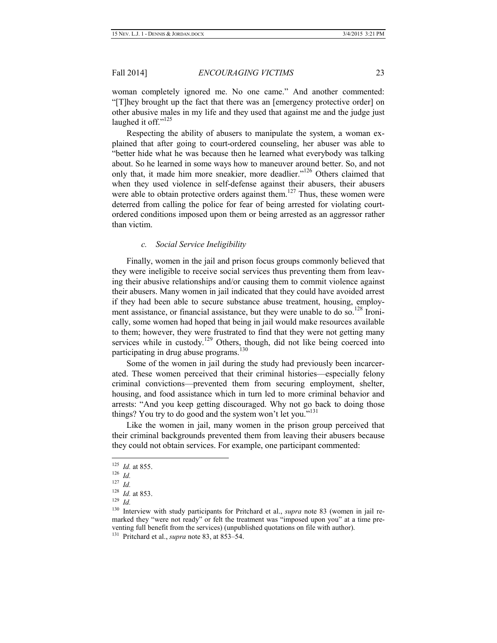woman completely ignored me. No one came." And another commented: "[T]hey brought up the fact that there was an [emergency protective order] on other abusive males in my life and they used that against me and the judge just laughed it off."<sup>125</sup>

Respecting the ability of abusers to manipulate the system, a woman explained that after going to court-ordered counseling, her abuser was able to "better hide what he was because then he learned what everybody was talking about. So he learned in some ways how to maneuver around better. So, and not only that, it made him more sneakier, more deadlier."<sup>126</sup> Others claimed that when they used violence in self-defense against their abusers, their abusers were able to obtain protective orders against them.<sup>127</sup> Thus, these women were deterred from calling the police for fear of being arrested for violating courtordered conditions imposed upon them or being arrested as an aggressor rather than victim.

#### *c. Social Service Ineligibility*

Finally, women in the jail and prison focus groups commonly believed that they were ineligible to receive social services thus preventing them from leaving their abusive relationships and/or causing them to commit violence against their abusers. Many women in jail indicated that they could have avoided arrest if they had been able to secure substance abuse treatment, housing, employment assistance, or financial assistance, but they were unable to do so.<sup>128</sup> Ironically, some women had hoped that being in jail would make resources available to them; however, they were frustrated to find that they were not getting many services while in custody.<sup>129</sup> Others, though, did not like being coerced into participating in drug abuse programs.<sup>130</sup>

Some of the women in jail during the study had previously been incarcerated. These women perceived that their criminal histories—especially felony criminal convictions—prevented them from securing employment, shelter, housing, and food assistance which in turn led to more criminal behavior and arrests: "And you keep getting discouraged. Why not go back to doing those things? You try to do good and the system won't let you."<sup>131</sup>

Like the women in jail, many women in the prison group perceived that their criminal backgrounds prevented them from leaving their abusers because they could not obtain services. For example, one participant commented:

 <sup>125</sup> *Id.* at 855.

<sup>126</sup> *Id.*

<sup>127</sup> *Id.*

<sup>128</sup> *Id.* at 853.

<sup>129</sup> *Id.*

<sup>130</sup> Interview with study participants for Pritchard et al., *supra* note 83 (women in jail remarked they "were not ready" or felt the treatment was "imposed upon you" at a time preventing full benefit from the services) (unpublished quotations on file with author).

<sup>131</sup> Pritchard et al., *supra* note 83, at 853–54.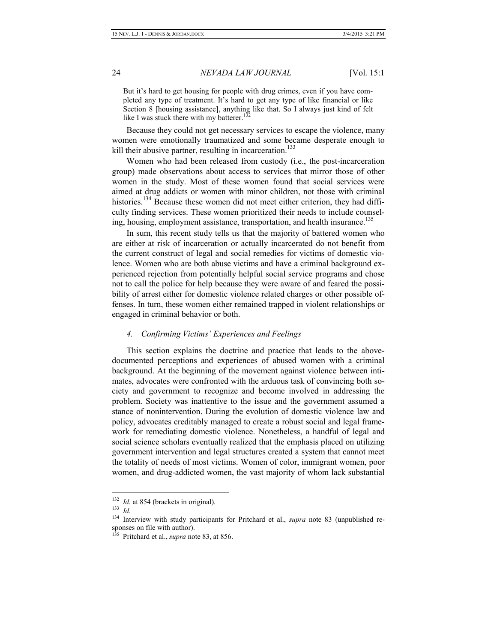But it's hard to get housing for people with drug crimes, even if you have completed any type of treatment. It's hard to get any type of like financial or like Section 8 [housing assistance], anything like that. So I always just kind of felt like I was stuck there with my batterer.<sup>13</sup>

Because they could not get necessary services to escape the violence, many women were emotionally traumatized and some became desperate enough to kill their abusive partner, resulting in incarceration.<sup>133</sup>

Women who had been released from custody (i.e., the post-incarceration group) made observations about access to services that mirror those of other women in the study. Most of these women found that social services were aimed at drug addicts or women with minor children, not those with criminal histories.<sup>134</sup> Because these women did not meet either criterion, they had difficulty finding services. These women prioritized their needs to include counseling, housing, employment assistance, transportation, and health insurance.<sup>135</sup>

In sum, this recent study tells us that the majority of battered women who are either at risk of incarceration or actually incarcerated do not benefit from the current construct of legal and social remedies for victims of domestic violence. Women who are both abuse victims and have a criminal background experienced rejection from potentially helpful social service programs and chose not to call the police for help because they were aware of and feared the possibility of arrest either for domestic violence related charges or other possible offenses. In turn, these women either remained trapped in violent relationships or engaged in criminal behavior or both.

#### *4. Confirming Victims' Experiences and Feelings*

This section explains the doctrine and practice that leads to the abovedocumented perceptions and experiences of abused women with a criminal background. At the beginning of the movement against violence between intimates, advocates were confronted with the arduous task of convincing both society and government to recognize and become involved in addressing the problem. Society was inattentive to the issue and the government assumed a stance of nonintervention. During the evolution of domestic violence law and policy, advocates creditably managed to create a robust social and legal framework for remediating domestic violence. Nonetheless, a handful of legal and social science scholars eventually realized that the emphasis placed on utilizing government intervention and legal structures created a system that cannot meet the totality of needs of most victims. Women of color, immigrant women, poor women, and drug-addicted women, the vast majority of whom lack substantial

<sup>&</sup>lt;sup>132</sup> *Id.* at 854 (brackets in original).

<sup>133</sup> *Id.*

<sup>&</sup>lt;sup>134</sup> Interview with study participants for Pritchard et al., *supra* note 83 (unpublished responses on file with author).

<sup>135</sup> Pritchard et al., *supra* note 83, at 856.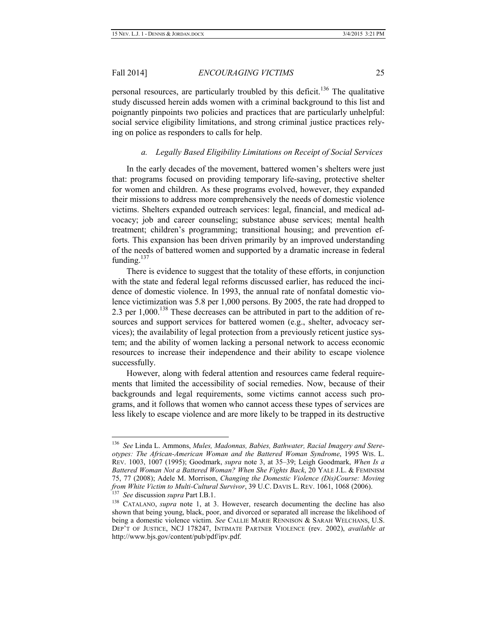personal resources, are particularly troubled by this deficit.<sup>136</sup> The qualitative study discussed herein adds women with a criminal background to this list and poignantly pinpoints two policies and practices that are particularly unhelpful: social service eligibility limitations, and strong criminal justice practices relying on police as responders to calls for help.

#### *a. Legally Based Eligibility Limitations on Receipt of Social Services*

In the early decades of the movement, battered women's shelters were just that: programs focused on providing temporary life-saving, protective shelter for women and children. As these programs evolved, however, they expanded their missions to address more comprehensively the needs of domestic violence victims. Shelters expanded outreach services: legal, financial, and medical advocacy; job and career counseling; substance abuse services; mental health treatment; children's programming; transitional housing; and prevention efforts. This expansion has been driven primarily by an improved understanding of the needs of battered women and supported by a dramatic increase in federal funding. $137$ 

There is evidence to suggest that the totality of these efforts, in conjunction with the state and federal legal reforms discussed earlier, has reduced the incidence of domestic violence. In 1993, the annual rate of nonfatal domestic violence victimization was 5.8 per 1,000 persons. By 2005, the rate had dropped to 2.3 per  $1,000$ .<sup>138</sup> These decreases can be attributed in part to the addition of resources and support services for battered women (e.g., shelter, advocacy services); the availability of legal protection from a previously reticent justice system; and the ability of women lacking a personal network to access economic resources to increase their independence and their ability to escape violence successfully.

However, along with federal attention and resources came federal requirements that limited the accessibility of social remedies. Now, because of their backgrounds and legal requirements, some victims cannot access such programs, and it follows that women who cannot access these types of services are less likely to escape violence and are more likely to be trapped in its destructive

 <sup>136</sup> *See* Linda L. Ammons, *Mules, Madonnas, Babies, Bathwater, Racial Imagery and Stereotypes: The African-American Woman and the Battered Woman Syndrome*, 1995 WIS. L. REV. 1003, 1007 (1995); Goodmark, *supra* note 3, at 35–39; Leigh Goodmark, *When Is a Battered Woman Not a Battered Woman? When She Fights Back*, 20 YALE J.L. & FEMINISM 75, 77 (2008); Adele M. Morrison, *Changing the Domestic Violence (Dis)Course: Moving from White Victim to Multi-Cultural Survivor*, 39 U.C. DAVIS L. REV. 1061, 1068 (2006). 137 *See* discussion *supra* Part I.B.1.

<sup>&</sup>lt;sup>138</sup> CATALANO, *supra* note 1, at 3. However, research documenting the decline has also shown that being young, black, poor, and divorced or separated all increase the likelihood of being a domestic violence victim. *See* CALLIE MARIE RENNISON & SARAH WELCHANS, U.S. DEP'T OF JUSTICE, NCJ 178247, INTIMATE PARTNER VIOLENCE (rev. 2002), *available at* http://www.bjs.gov/content/pub/pdf/ipv.pdf.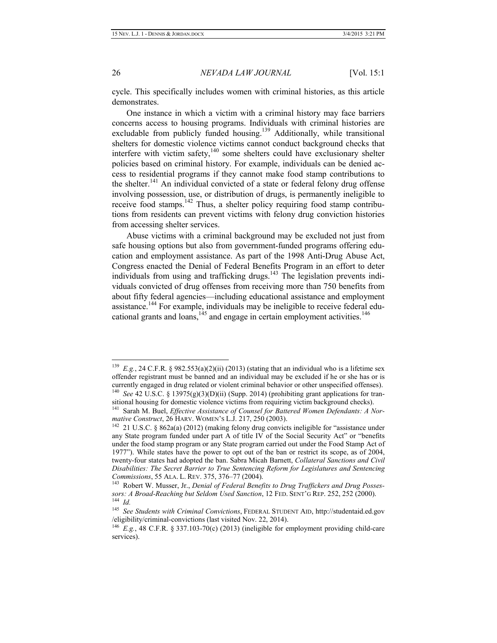cycle. This specifically includes women with criminal histories, as this article demonstrates.

One instance in which a victim with a criminal history may face barriers concerns access to housing programs. Individuals with criminal histories are excludable from publicly funded housing.<sup>139</sup> Additionally, while transitional shelters for domestic violence victims cannot conduct background checks that interfere with victim safety,<sup>140</sup> some shelters could have exclusionary shelter policies based on criminal history. For example, individuals can be denied access to residential programs if they cannot make food stamp contributions to the shelter.<sup>141</sup> An individual convicted of a state or federal felony drug offense involving possession, use, or distribution of drugs, is permanently ineligible to receive food stamps.<sup>142</sup> Thus, a shelter policy requiring food stamp contributions from residents can prevent victims with felony drug conviction histories from accessing shelter services.

Abuse victims with a criminal background may be excluded not just from safe housing options but also from government-funded programs offering education and employment assistance. As part of the 1998 Anti-Drug Abuse Act, Congress enacted the Denial of Federal Benefits Program in an effort to deter individuals from using and trafficking drugs. $143$  The legislation prevents individuals convicted of drug offenses from receiving more than 750 benefits from about fifty federal agencies—including educational assistance and employment assistance.<sup>144</sup> For example, individuals may be ineligible to receive federal educational grants and loans, $145$  and engage in certain employment activities.<sup>146</sup>

<sup>&</sup>lt;sup>139</sup> *E.g.*, 24 C.F.R. § 982.553(a)(2)(ii) (2013) (stating that an individual who is a lifetime sex offender registrant must be banned and an individual may be excluded if he or she has or is currently engaged in drug related or violent criminal behavior or other unspecified offenses). 140 *See* 42 U.S.C. § 13975(g)(3)(D)(ii) (Supp. 2014) (prohibiting grant applications for transitional housing for domestic violence victims from requiring victim background checks).

<sup>&</sup>lt;sup>141</sup> Sarah M. Buel, *Effective Assistance of Counsel for Battered Women Defendants: A Normative Construct*, 26 HARV. WOMEN'S L.J. 217, 250 (2003).

<sup>&</sup>lt;sup>142</sup> 21 U.S.C. § 862a(a) (2012) (making felony drug convicts ineligible for "assistance under any State program funded under part A of title IV of the Social Security Act" or "benefits under the food stamp program or any State program carried out under the Food Stamp Act of 1977"). While states have the power to opt out of the ban or restrict its scope, as of 2004, twenty-four states had adopted the ban. Sabra Micah Barnett, *Collateral Sanctions and Civil Disabilities: The Secret Barrier to True Sentencing Reform for Legislatures and Sentencing Commissions*, 55 ALA. L. REV. 375, 376–77 (2004).

<sup>143</sup> Robert W. Musser, Jr., *Denial of Federal Benefits to Drug Traffickers and Drug Possessors: A Broad-Reaching but Seldom Used Sanction*, 12 FED. SENT'G REP. 252, 252 (2000). 144 *Id.*

<sup>145</sup> *See Students with Criminal Convictions*, FEDERAL STUDENT AID, http://studentaid.ed.gov /eligibility/criminal-convictions (last visited Nov. 22, 2014).

<sup>146</sup> *E.g.*, 48 C.F.R. § 337.103-70(c) (2013) (ineligible for employment providing child-care services).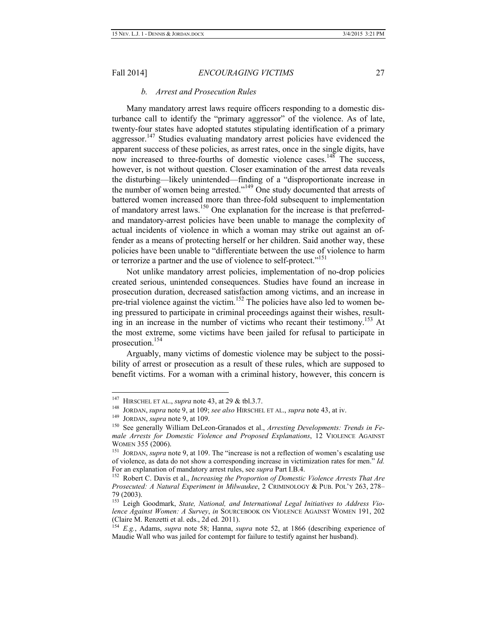#### *b. Arrest and Prosecution Rules*

Many mandatory arrest laws require officers responding to a domestic disturbance call to identify the "primary aggressor" of the violence. As of late, twenty-four states have adopted statutes stipulating identification of a primary aggressor.<sup>147</sup> Studies evaluating mandatory arrest policies have evidenced the apparent success of these policies, as arrest rates, once in the single digits, have now increased to three-fourths of domestic violence cases.<sup>148</sup> The success, however, is not without question. Closer examination of the arrest data reveals the disturbing—likely unintended—finding of a "disproportionate increase in the number of women being arrested."<sup>149</sup> One study documented that arrests of battered women increased more than three-fold subsequent to implementation of mandatory arrest laws.<sup>150</sup> One explanation for the increase is that preferredand mandatory-arrest policies have been unable to manage the complexity of actual incidents of violence in which a woman may strike out against an offender as a means of protecting herself or her children. Said another way, these policies have been unable to "differentiate between the use of violence to harm or terrorize a partner and the use of violence to self-protect."<sup>151</sup>

Not unlike mandatory arrest policies, implementation of no-drop policies created serious, unintended consequences. Studies have found an increase in prosecution duration, decreased satisfaction among victims, and an increase in pre-trial violence against the victim.<sup>152</sup> The policies have also led to women being pressured to participate in criminal proceedings against their wishes, resulting in an increase in the number of victims who recant their testimony.<sup>153</sup> At the most extreme, some victims have been jailed for refusal to participate in prosecution.154

Arguably, many victims of domestic violence may be subject to the possibility of arrest or prosecution as a result of these rules, which are supposed to benefit victims. For a woman with a criminal history, however, this concern is

 <sup>147</sup> HIRSCHEL ET AL., *supra* note 43, at 29 & tbl.3.7.

<sup>148</sup> JORDAN, *supra* note 9, at 109; *see also* HIRSCHEL ET AL., *supra* note 43, at iv.

<sup>149</sup> JORDAN, *supra* note 9, at 109.

<sup>150</sup> See generally William DeLeon-Granados et al., *Arresting Developments: Trends in Female Arrests for Domestic Violence and Proposed Explanations*, 12 VIOLENCE AGAINST WOMEN 355 (2006).

<sup>151</sup> JORDAN, *supra* note 9, at 109. The "increase is not a reflection of women's escalating use of violence, as data do not show a corresponding increase in victimization rates for men." *Id.* For an explanation of mandatory arrest rules, see *supra* Part I.B.4.

<sup>152</sup> Robert C. Davis et al., *Increasing the Proportion of Domestic Violence Arrests That Are Prosecuted: A Natural Experiment in Milwaukee*, 2 CRIMINOLOGY & PUB. POL'Y 263, 278– 79 (2003).

<sup>153</sup> Leigh Goodmark, *State, National, and International Legal Initiatives to Address Violence Against Women: A Survey*, *in* SOURCEBOOK ON VIOLENCE AGAINST WOMEN 191, 202 (Claire M. Renzetti et al. eds., 2d ed. 2011).

<sup>154</sup> *E.g.*, Adams, *supra* note 58; Hanna, *supra* note 52, at 1866 (describing experience of Maudie Wall who was jailed for contempt for failure to testify against her husband).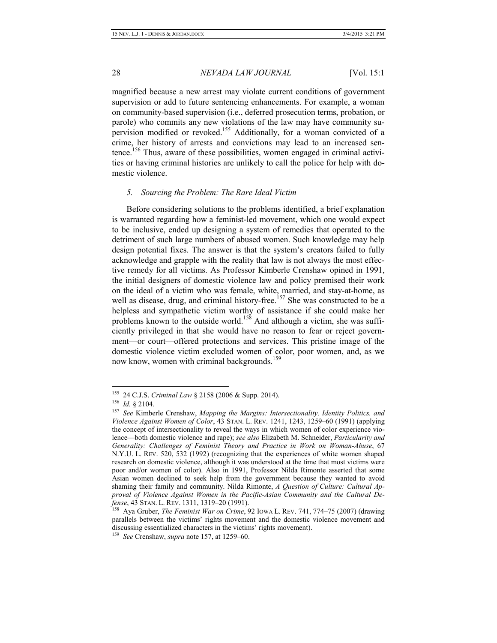magnified because a new arrest may violate current conditions of government supervision or add to future sentencing enhancements. For example, a woman on community-based supervision (i.e., deferred prosecution terms, probation, or parole) who commits any new violations of the law may have community supervision modified or revoked.155 Additionally, for a woman convicted of a crime, her history of arrests and convictions may lead to an increased sentence.156 Thus, aware of these possibilities, women engaged in criminal activities or having criminal histories are unlikely to call the police for help with domestic violence.

#### *5. Sourcing the Problem: The Rare Ideal Victim*

Before considering solutions to the problems identified, a brief explanation is warranted regarding how a feminist-led movement, which one would expect to be inclusive, ended up designing a system of remedies that operated to the detriment of such large numbers of abused women. Such knowledge may help design potential fixes. The answer is that the system's creators failed to fully acknowledge and grapple with the reality that law is not always the most effective remedy for all victims. As Professor Kimberle Crenshaw opined in 1991, the initial designers of domestic violence law and policy premised their work on the ideal of a victim who was female, white, married, and stay-at-home, as well as disease, drug, and criminal history-free.<sup>157</sup> She was constructed to be a helpless and sympathetic victim worthy of assistance if she could make her problems known to the outside world.<sup>158</sup> And although a victim, she was sufficiently privileged in that she would have no reason to fear or reject government—or court—offered protections and services. This pristine image of the domestic violence victim excluded women of color, poor women, and, as we now know, women with criminal backgrounds.<sup>159</sup>

 <sup>155 24</sup> C.J.S. *Criminal Law* § 2158 (2006 & Supp. 2014).

<sup>156</sup> *Id.* § 2104.

<sup>157</sup> *See* Kimberle Crenshaw, *Mapping the Margins: Intersectionality, Identity Politics, and Violence Against Women of Color*, 43 STAN. L. REV. 1241, 1243, 1259–60 (1991) (applying the concept of intersectionality to reveal the ways in which women of color experience violence—both domestic violence and rape); *see also* Elizabeth M. Schneider, *Particularity and Generality: Challenges of Feminist Theory and Practice in Work on Woman-Abuse*, 67 N.Y.U. L. REV. 520, 532 (1992) (recognizing that the experiences of white women shaped research on domestic violence, although it was understood at the time that most victims were poor and/or women of color). Also in 1991, Professor Nilda Rimonte asserted that some Asian women declined to seek help from the government because they wanted to avoid shaming their family and community. Nilda Rimonte, *A Question of Culture: Cultural Approval of Violence Against Women in the Pacific-Asian Community and the Cultural Defense*, 43 STAN. L. REV. 1311, 1319–20 (1991).

<sup>158</sup> Aya Gruber, *The Feminist War on Crime*, 92 IOWA L. REV. 741, 774–75 (2007) (drawing parallels between the victims' rights movement and the domestic violence movement and discussing essentialized characters in the victims' rights movement).

<sup>159</sup> *See* Crenshaw, *supra* note 157, at 1259–60.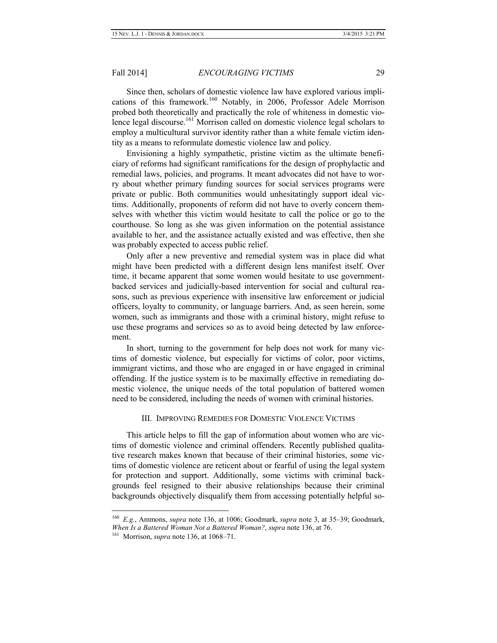Since then, scholars of domestic violence law have explored various implications of this framework.<sup>160</sup> Notably, in 2006, Professor Adele Morrison probed both theoretically and practically the role of whiteness in domestic violence legal discourse.<sup>161</sup> Morrison called on domestic violence legal scholars to employ a multicultural survivor identity rather than a white female victim identity as a means to reformulate domestic violence law and policy.

Envisioning a highly sympathetic, pristine victim as the ultimate beneficiary of reforms had significant ramifications for the design of prophylactic and remedial laws, policies, and programs. It meant advocates did not have to worry about whether primary funding sources for social services programs were private or public. Both communities would unhesitatingly support ideal victims. Additionally, proponents of reform did not have to overly concern themselves with whether this victim would hesitate to call the police or go to the courthouse. So long as she was given information on the potential assistance available to her, and the assistance actually existed and was effective, then she was probably expected to access public relief.

Only after a new preventive and remedial system was in place did what might have been predicted with a different design lens manifest itself. Over time, it became apparent that some women would hesitate to use governmentbacked services and judicially-based intervention for social and cultural reasons, such as previous experience with insensitive law enforcement or judicial officers, loyalty to community, or language barriers. And, as seen herein, some women, such as immigrants and those with a criminal history, might refuse to use these programs and services so as to avoid being detected by law enforcement.

In short, turning to the government for help does not work for many victims of domestic violence, but especially for victims of color, poor victims, immigrant victims, and those who are engaged in or have engaged in criminal offending. If the justice system is to be maximally effective in remediating domestic violence, the unique needs of the total population of battered women need to be considered, including the needs of women with criminal histories.

#### III. IMPROVING REMEDIES FOR DOMESTIC VIOLENCE VICTIMS

This article helps to fill the gap of information about women who are victims of domestic violence and criminal offenders. Recently published qualitative research makes known that because of their criminal histories, some victims of domestic violence are reticent about or fearful of using the legal system for protection and support. Additionally, some victims with criminal backgrounds feel resigned to their abusive relationships because their criminal backgrounds objectively disqualify them from accessing potentially helpful so-

 <sup>160</sup> *E.g.*, Ammons, *supra* note 136, at 1006; Goodmark, *supra* note 3, at 35–39; Goodmark, *When Is a Battered Woman Not a Battered Woman?*, *supra* note 136, at 76.

<sup>161</sup> Morrison, *supra* note 136, at 1068–71.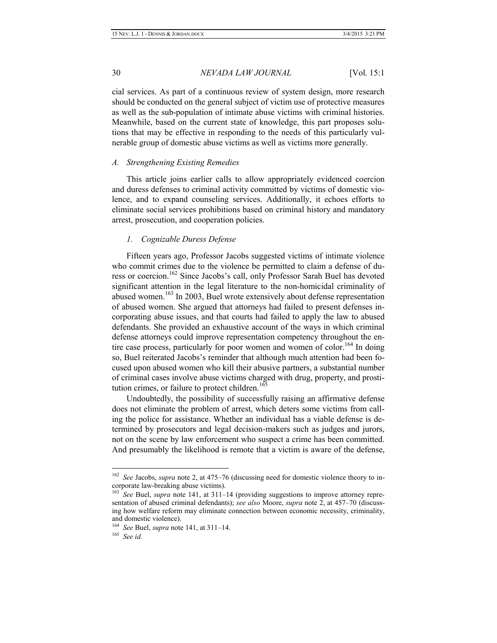cial services. As part of a continuous review of system design, more research should be conducted on the general subject of victim use of protective measures as well as the sub-population of intimate abuse victims with criminal histories. Meanwhile, based on the current state of knowledge, this part proposes solutions that may be effective in responding to the needs of this particularly vulnerable group of domestic abuse victims as well as victims more generally.

#### *A. Strengthening Existing Remedies*

This article joins earlier calls to allow appropriately evidenced coercion and duress defenses to criminal activity committed by victims of domestic violence, and to expand counseling services. Additionally, it echoes efforts to eliminate social services prohibitions based on criminal history and mandatory arrest, prosecution, and cooperation policies.

#### *1. Cognizable Duress Defense*

Fifteen years ago, Professor Jacobs suggested victims of intimate violence who commit crimes due to the violence be permitted to claim a defense of duress or coercion.<sup>162</sup> Since Jacobs's call, only Professor Sarah Buel has devoted significant attention in the legal literature to the non-homicidal criminality of abused women.<sup>163</sup> In 2003, Buel wrote extensively about defense representation of abused women. She argued that attorneys had failed to present defenses incorporating abuse issues, and that courts had failed to apply the law to abused defendants. She provided an exhaustive account of the ways in which criminal defense attorneys could improve representation competency throughout the entire case process, particularly for poor women and women of color.<sup>164</sup> In doing so, Buel reiterated Jacobs's reminder that although much attention had been focused upon abused women who kill their abusive partners, a substantial number of criminal cases involve abuse victims charged with drug, property, and prostitution crimes, or failure to protect children.<sup>165</sup>

Undoubtedly, the possibility of successfully raising an affirmative defense does not eliminate the problem of arrest, which deters some victims from calling the police for assistance. Whether an individual has a viable defense is determined by prosecutors and legal decision-makers such as judges and jurors, not on the scene by law enforcement who suspect a crime has been committed. And presumably the likelihood is remote that a victim is aware of the defense,

165 *See id.*

 <sup>162</sup> *See* Jacobs, *supra* note 2, at 475–76 (discussing need for domestic violence theory to incorporate law-breaking abuse victims).

<sup>163</sup> *See* Buel, *supra* note 141, at 311–14 (providing suggestions to improve attorney representation of abused criminal defendants); *see also* Moore, *supra* note 2, at 457–70 (discussing how welfare reform may eliminate connection between economic necessity, criminality, and domestic violence).

<sup>164</sup> *See* Buel, *supra* note 141, at 311–14.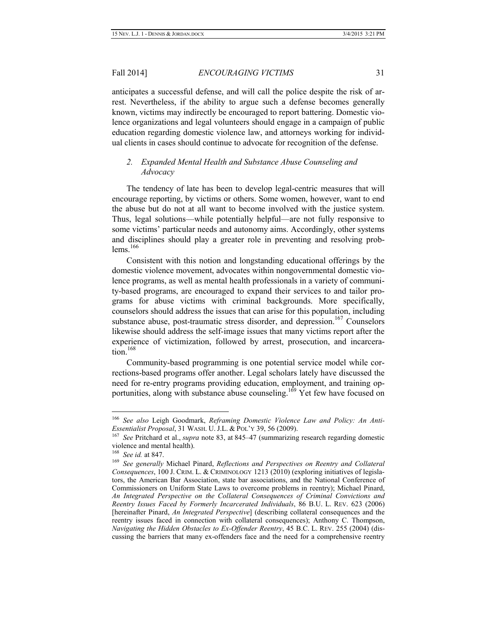anticipates a successful defense, and will call the police despite the risk of arrest. Nevertheless, if the ability to argue such a defense becomes generally known, victims may indirectly be encouraged to report battering. Domestic violence organizations and legal volunteers should engage in a campaign of public education regarding domestic violence law, and attorneys working for individual clients in cases should continue to advocate for recognition of the defense.

### *2. Expanded Mental Health and Substance Abuse Counseling and Advocacy*

The tendency of late has been to develop legal-centric measures that will encourage reporting, by victims or others. Some women, however, want to end the abuse but do not at all want to become involved with the justice system. Thus, legal solutions—while potentially helpful—are not fully responsive to some victims' particular needs and autonomy aims. Accordingly, other systems and disciplines should play a greater role in preventing and resolving problems.<sup>166</sup>

Consistent with this notion and longstanding educational offerings by the domestic violence movement, advocates within nongovernmental domestic violence programs, as well as mental health professionals in a variety of community-based programs, are encouraged to expand their services to and tailor programs for abuse victims with criminal backgrounds. More specifically, counselors should address the issues that can arise for this population, including substance abuse, post-traumatic stress disorder, and depression.<sup>167</sup> Counselors likewise should address the self-image issues that many victims report after the experience of victimization, followed by arrest, prosecution, and incarceration. $168$ 

Community-based programming is one potential service model while corrections-based programs offer another. Legal scholars lately have discussed the need for re-entry programs providing education, employment, and training opportunities, along with substance abuse counseling.<sup>169</sup> Yet few have focused on

 <sup>166</sup> *See also* Leigh Goodmark, *Reframing Domestic Violence Law and Policy: An Anti-Essentialist Proposal*, 31 WASH. U. J.L. & POL'Y 39, 56 (2009).

<sup>167</sup> *See* Pritchard et al., *supra* note 83, at 845–47 (summarizing research regarding domestic violence and mental health).

<sup>168</sup> *See id.* at 847.

<sup>169</sup> *See generally* Michael Pinard, *Reflections and Perspectives on Reentry and Collateral Consequences*, 100 J. CRIM. L. & CRIMINOLOGY 1213 (2010) (exploring initiatives of legislators, the American Bar Association, state bar associations, and the National Conference of Commissioners on Uniform State Laws to overcome problems in reentry); Michael Pinard, *An Integrated Perspective on the Collateral Consequences of Criminal Convictions and Reentry Issues Faced by Formerly Incarcerated Individuals*, 86 B.U. L. REV. 623 (2006) [hereinafter Pinard, *An Integrated Perspective*] (describing collateral consequences and the reentry issues faced in connection with collateral consequences); Anthony C. Thompson, *Navigating the Hidden Obstacles to Ex-Offender Reentry*, 45 B.C. L. REV. 255 (2004) (discussing the barriers that many ex-offenders face and the need for a comprehensive reentry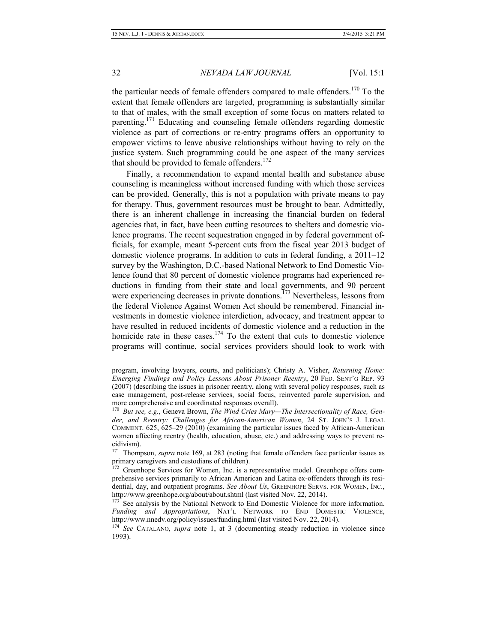the particular needs of female offenders compared to male offenders.<sup>170</sup> To the extent that female offenders are targeted, programming is substantially similar to that of males, with the small exception of some focus on matters related to parenting.<sup>171</sup> Educating and counseling female offenders regarding domestic violence as part of corrections or re-entry programs offers an opportunity to empower victims to leave abusive relationships without having to rely on the justice system. Such programming could be one aspect of the many services that should be provided to female offenders.<sup>172</sup>

Finally, a recommendation to expand mental health and substance abuse counseling is meaningless without increased funding with which those services can be provided. Generally, this is not a population with private means to pay for therapy. Thus, government resources must be brought to bear. Admittedly, there is an inherent challenge in increasing the financial burden on federal agencies that, in fact, have been cutting resources to shelters and domestic violence programs. The recent sequestration engaged in by federal government officials, for example, meant 5-percent cuts from the fiscal year 2013 budget of domestic violence programs. In addition to cuts in federal funding, a 2011–12 survey by the Washington, D.C.-based National Network to End Domestic Violence found that 80 percent of domestic violence programs had experienced reductions in funding from their state and local governments, and 90 percent were experiencing decreases in private donations.<sup>173</sup> Nevertheless, lessons from the federal Violence Against Women Act should be remembered. Financial investments in domestic violence interdiction, advocacy, and treatment appear to have resulted in reduced incidents of domestic violence and a reduction in the homicide rate in these cases.<sup>174</sup> To the extent that cuts to domestic violence programs will continue, social services providers should look to work with

<sup>171</sup> Thompson, *supra* note 169, at 283 (noting that female offenders face particular issues as primary caregivers and custodians of children).

<sup>173</sup> See analysis by the National Network to End Domestic Violence for more information. *Funding and Appropriations*, NAT'L NETWORK TO END DOMESTIC VIOLENCE, http://www.nnedv.org/policy/issues/funding.html (last visited Nov. 22, 2014).

program, involving lawyers, courts, and politicians); Christy A. Visher, *Returning Home: Emerging Findings and Policy Lessons About Prisoner Reentry*, 20 FED. SENT'G REP. 93 (2007) (describing the issues in prisoner reentry, along with several policy responses, such as case management, post-release services, social focus, reinvented parole supervision, and more comprehensive and coordinated responses overall).

<sup>170</sup> *But see, e.g.*, Geneva Brown, *The Wind Cries Mary—The Intersectionality of Race, Gender, and Reentry: Challenges for African-American Women*, 24 ST. JOHN'S J. LEGAL COMMENT. 625, 625–29 (2010) (examining the particular issues faced by African-American women affecting reentry (health, education, abuse, etc.) and addressing ways to prevent recidivism).

<sup>&</sup>lt;sup>172</sup> Greenhope Services for Women, Inc. is a representative model. Greenhope offers comprehensive services primarily to African American and Latina ex-offenders through its residential, day, and outpatient programs. *See About Us*, GREENHOPE SERVS. FOR WOMEN, INC., http://www.greenhope.org/about/about.shtml (last visited Nov. 22, 2014).

<sup>&</sup>lt;sup>174</sup> See CATALANO, *supra* note 1, at 3 (documenting steady reduction in violence since 1993).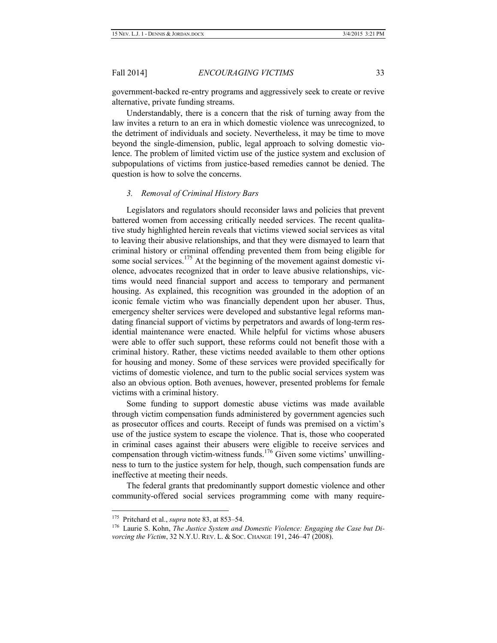government-backed re-entry programs and aggressively seek to create or revive alternative, private funding streams.

Understandably, there is a concern that the risk of turning away from the law invites a return to an era in which domestic violence was unrecognized, to the detriment of individuals and society. Nevertheless, it may be time to move beyond the single-dimension, public, legal approach to solving domestic violence. The problem of limited victim use of the justice system and exclusion of subpopulations of victims from justice-based remedies cannot be denied. The question is how to solve the concerns.

#### *3. Removal of Criminal History Bars*

Legislators and regulators should reconsider laws and policies that prevent battered women from accessing critically needed services. The recent qualitative study highlighted herein reveals that victims viewed social services as vital to leaving their abusive relationships, and that they were dismayed to learn that criminal history or criminal offending prevented them from being eligible for some social services.<sup>175</sup> At the beginning of the movement against domestic violence, advocates recognized that in order to leave abusive relationships, victims would need financial support and access to temporary and permanent housing. As explained, this recognition was grounded in the adoption of an iconic female victim who was financially dependent upon her abuser. Thus, emergency shelter services were developed and substantive legal reforms mandating financial support of victims by perpetrators and awards of long-term residential maintenance were enacted. While helpful for victims whose abusers were able to offer such support, these reforms could not benefit those with a criminal history. Rather, these victims needed available to them other options for housing and money. Some of these services were provided specifically for victims of domestic violence, and turn to the public social services system was also an obvious option. Both avenues, however, presented problems for female victims with a criminal history.

Some funding to support domestic abuse victims was made available through victim compensation funds administered by government agencies such as prosecutor offices and courts. Receipt of funds was premised on a victim's use of the justice system to escape the violence. That is, those who cooperated in criminal cases against their abusers were eligible to receive services and compensation through victim-witness funds.<sup>176</sup> Given some victims' unwillingness to turn to the justice system for help, though, such compensation funds are ineffective at meeting their needs.

The federal grants that predominantly support domestic violence and other community-offered social services programming come with many require-

 <sup>175</sup> Pritchard et al., *supra* note 83, at 853–54.

<sup>176</sup> Laurie S. Kohn, *The Justice System and Domestic Violence: Engaging the Case but Divorcing the Victim*, 32 N.Y.U. REV. L. & SOC. CHANGE 191, 246–47 (2008).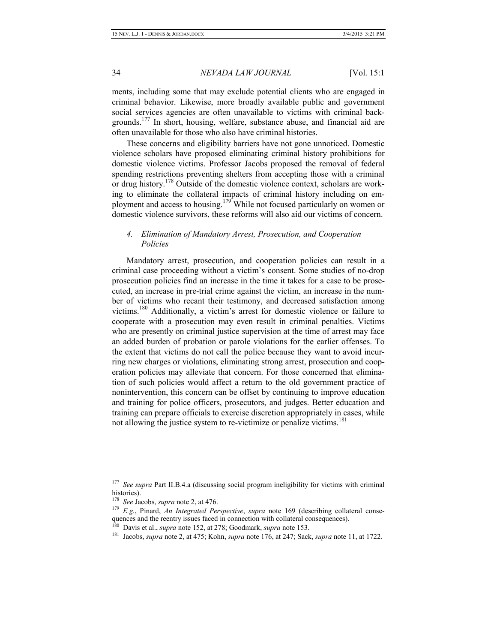ments, including some that may exclude potential clients who are engaged in criminal behavior. Likewise, more broadly available public and government social services agencies are often unavailable to victims with criminal backgrounds.<sup>177</sup> In short, housing, welfare, substance abuse, and financial aid are often unavailable for those who also have criminal histories.

These concerns and eligibility barriers have not gone unnoticed. Domestic violence scholars have proposed eliminating criminal history prohibitions for domestic violence victims. Professor Jacobs proposed the removal of federal spending restrictions preventing shelters from accepting those with a criminal or drug history.<sup>178</sup> Outside of the domestic violence context, scholars are working to eliminate the collateral impacts of criminal history including on employment and access to housing.<sup>179</sup> While not focused particularly on women or domestic violence survivors, these reforms will also aid our victims of concern.

### *4. Elimination of Mandatory Arrest, Prosecution, and Cooperation Policies*

Mandatory arrest, prosecution, and cooperation policies can result in a criminal case proceeding without a victim's consent. Some studies of no-drop prosecution policies find an increase in the time it takes for a case to be prosecuted, an increase in pre-trial crime against the victim, an increase in the number of victims who recant their testimony, and decreased satisfaction among victims.<sup>180</sup> Additionally, a victim's arrest for domestic violence or failure to cooperate with a prosecution may even result in criminal penalties. Victims who are presently on criminal justice supervision at the time of arrest may face an added burden of probation or parole violations for the earlier offenses. To the extent that victims do not call the police because they want to avoid incurring new charges or violations, eliminating strong arrest, prosecution and cooperation policies may alleviate that concern. For those concerned that elimination of such policies would affect a return to the old government practice of nonintervention, this concern can be offset by continuing to improve education and training for police officers, prosecutors, and judges. Better education and training can prepare officials to exercise discretion appropriately in cases, while not allowing the justice system to re-victimize or penalize victims.<sup>181</sup>

<sup>&</sup>lt;sup>177</sup> *See supra* Part II.B.4.a (discussing social program ineligibility for victims with criminal histories).

<sup>178</sup> *See* Jacobs, *supra* note 2, at 476.

<sup>179</sup> *E.g.*, Pinard, *An Integrated Perspective*, *supra* note 169 (describing collateral consequences and the reentry issues faced in connection with collateral consequences).

<sup>180</sup> Davis et al., *supra* note 152, at 278; Goodmark, *supra* note 153.

<sup>181</sup> Jacobs, *supra* note 2, at 475; Kohn, *supra* note 176, at 247; Sack, *supra* note 11, at 1722.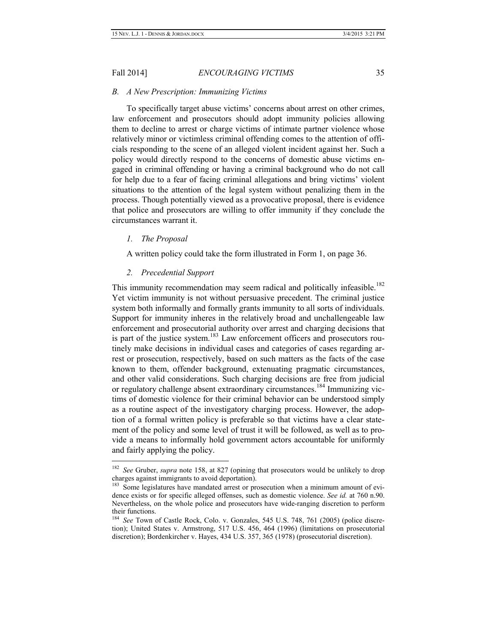#### *B. A New Prescription: Immunizing Victims*

To specifically target abuse victims' concerns about arrest on other crimes, law enforcement and prosecutors should adopt immunity policies allowing them to decline to arrest or charge victims of intimate partner violence whose relatively minor or victimless criminal offending comes to the attention of officials responding to the scene of an alleged violent incident against her. Such a policy would directly respond to the concerns of domestic abuse victims engaged in criminal offending or having a criminal background who do not call for help due to a fear of facing criminal allegations and bring victims' violent situations to the attention of the legal system without penalizing them in the process. Though potentially viewed as a provocative proposal, there is evidence that police and prosecutors are willing to offer immunity if they conclude the circumstances warrant it.

#### *1. The Proposal*

A written policy could take the form illustrated in Form 1, on page 36.

#### *2. Precedential Support*

This immunity recommendation may seem radical and politically infeasible.<sup>182</sup> Yet victim immunity is not without persuasive precedent. The criminal justice system both informally and formally grants immunity to all sorts of individuals. Support for immunity inheres in the relatively broad and unchallengeable law enforcement and prosecutorial authority over arrest and charging decisions that is part of the justice system.<sup>183</sup> Law enforcement officers and prosecutors routinely make decisions in individual cases and categories of cases regarding arrest or prosecution, respectively, based on such matters as the facts of the case known to them, offender background, extenuating pragmatic circumstances, and other valid considerations. Such charging decisions are free from judicial or regulatory challenge absent extraordinary circumstances.<sup>184</sup> Immunizing victims of domestic violence for their criminal behavior can be understood simply as a routine aspect of the investigatory charging process. However, the adoption of a formal written policy is preferable so that victims have a clear statement of the policy and some level of trust it will be followed, as well as to provide a means to informally hold government actors accountable for uniformly and fairly applying the policy.

<sup>&</sup>lt;sup>182</sup> See Gruber, *supra* note 158, at 827 (opining that prosecutors would be unlikely to drop charges against immigrants to avoid deportation).

<sup>&</sup>lt;sup>183</sup> Some legislatures have mandated arrest or prosecution when a minimum amount of evidence exists or for specific alleged offenses, such as domestic violence. *See id.* at 760 n.90. Nevertheless, on the whole police and prosecutors have wide-ranging discretion to perform their functions.

<sup>&</sup>lt;sup>184</sup> See Town of Castle Rock, Colo. v. Gonzales, 545 U.S. 748, 761 (2005) (police discretion); United States v. Armstrong, 517 U.S. 456, 464 (1996) (limitations on prosecutorial discretion); Bordenkircher v. Hayes, 434 U.S. 357, 365 (1978) (prosecutorial discretion).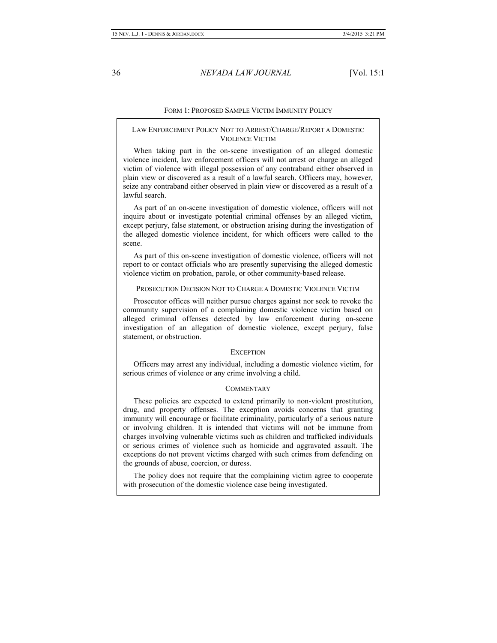#### FORM 1: PROPOSED SAMPLE VICTIM IMMUNITY POLICY

#### LAW ENFORCEMENT POLICY NOT TO ARREST/CHARGE/REPORT A DOMESTIC VIOLENCE VICTIM

When taking part in the on-scene investigation of an alleged domestic violence incident, law enforcement officers will not arrest or charge an alleged victim of violence with illegal possession of any contraband either observed in plain view or discovered as a result of a lawful search. Officers may, however, seize any contraband either observed in plain view or discovered as a result of a lawful search.

As part of an on-scene investigation of domestic violence, officers will not inquire about or investigate potential criminal offenses by an alleged victim, except perjury, false statement, or obstruction arising during the investigation of the alleged domestic violence incident, for which officers were called to the scene.

As part of this on-scene investigation of domestic violence, officers will not report to or contact officials who are presently supervising the alleged domestic violence victim on probation, parole, or other community-based release.

#### PROSECUTION DECISION NOT TO CHARGE A DOMESTIC VIOLENCE VICTIM

Prosecutor offices will neither pursue charges against nor seek to revoke the community supervision of a complaining domestic violence victim based on alleged criminal offenses detected by law enforcement during on-scene investigation of an allegation of domestic violence, except perjury, false statement, or obstruction.

#### **EXCEPTION**

Officers may arrest any individual, including a domestic violence victim, for serious crimes of violence or any crime involving a child.

#### **COMMENTARY**

These policies are expected to extend primarily to non-violent prostitution, drug, and property offenses. The exception avoids concerns that granting immunity will encourage or facilitate criminality, particularly of a serious nature or involving children. It is intended that victims will not be immune from charges involving vulnerable victims such as children and trafficked individuals or serious crimes of violence such as homicide and aggravated assault. The exceptions do not prevent victims charged with such crimes from defending on the grounds of abuse, coercion, or duress.

The policy does not require that the complaining victim agree to cooperate with prosecution of the domestic violence case being investigated.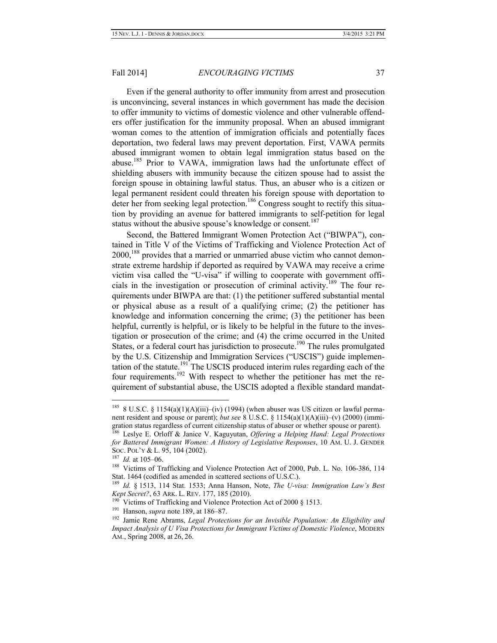Even if the general authority to offer immunity from arrest and prosecution is unconvincing, several instances in which government has made the decision to offer immunity to victims of domestic violence and other vulnerable offenders offer justification for the immunity proposal. When an abused immigrant woman comes to the attention of immigration officials and potentially faces deportation, two federal laws may prevent deportation. First, VAWA permits abused immigrant women to obtain legal immigration status based on the abuse.185 Prior to VAWA, immigration laws had the unfortunate effect of shielding abusers with immunity because the citizen spouse had to assist the foreign spouse in obtaining lawful status. Thus, an abuser who is a citizen or legal permanent resident could threaten his foreign spouse with deportation to deter her from seeking legal protection.<sup>186</sup> Congress sought to rectify this situation by providing an avenue for battered immigrants to self-petition for legal status without the abusive spouse's knowledge or consent.<sup>187</sup>

Second, the Battered Immigrant Women Protection Act ("BIWPA"), contained in Title V of the Victims of Trafficking and Violence Protection Act of 2000,<sup>188</sup> provides that a married or unmarried abuse victim who cannot demonstrate extreme hardship if deported as required by VAWA may receive a crime victim visa called the "U-visa" if willing to cooperate with government officials in the investigation or prosecution of criminal activity.<sup>189</sup> The four requirements under BIWPA are that: (1) the petitioner suffered substantial mental or physical abuse as a result of a qualifying crime; (2) the petitioner has knowledge and information concerning the crime; (3) the petitioner has been helpful, currently is helpful, or is likely to be helpful in the future to the investigation or prosecution of the crime; and (4) the crime occurred in the United States, or a federal court has jurisdiction to prosecute.<sup>190</sup> The rules promulgated by the U.S. Citizenship and Immigration Services ("USCIS") guide implementation of the statute.<sup>191</sup> The USCIS produced interim rules regarding each of the four requirements.<sup>192</sup> With respect to whether the petitioner has met the requirement of substantial abuse, the USCIS adopted a flexible standard mandat-

<sup>&</sup>lt;sup>185</sup> 8 U.S.C. § 1154(a)(1)(A)(iii)–(iv) (1994) (when abuser was US citizen or lawful permanent resident and spouse or parent); *but see* 8 U.S.C. § 1154(a)(1)(A)(iii)–(v) (2000) (immigration status regardless of current citizenship status of abuser or whether spouse or parent).

<sup>186</sup> Leslye E. Orloff & Janice V. Kaguyutan, *Offering a Helping Hand: Legal Protections for Battered Immigrant Women: A History of Legislative Responses*, 10 AM. U. J. GENDER SOC. POL'Y & L. 95, 104 (2002).

<sup>187</sup> *Id.* at 105–06.

<sup>&</sup>lt;sup>188</sup> Victims of Trafficking and Violence Protection Act of 2000, Pub. L. No. 106-386, 114 Stat. 1464 (codified as amended in scattered sections of U.S.C.).

<sup>189</sup> *Id.* § 1513, 114 Stat. 1533; Anna Hanson, Note, *The U-visa: Immigration Law's Best Kept Secret?*, 63 ARK. L. REV. 177, 185 (2010).

Victims of Trafficking and Violence Protection Act of 2000 § 1513.

<sup>191</sup> Hanson, *supra* note 189, at 186–87.

<sup>192</sup> Jamie Rene Abrams, *Legal Protections for an Invisible Population: An Eligibility and Impact Analysis of U Visa Protections for Immigrant Victims of Domestic Violence*, MODERN AM., Spring 2008, at 26, 26.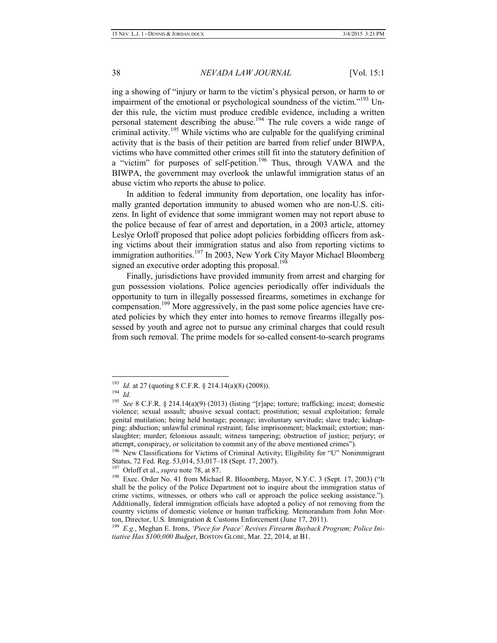ing a showing of "injury or harm to the victim's physical person, or harm to or impairment of the emotional or psychological soundness of the victim."<sup>193</sup> Under this rule, the victim must produce credible evidence, including a written personal statement describing the abuse.<sup>194</sup> The rule covers a wide range of criminal activity.<sup>195</sup> While victims who are culpable for the qualifying criminal activity that is the basis of their petition are barred from relief under BIWPA, victims who have committed other crimes still fit into the statutory definition of a "victim" for purposes of self-petition.<sup>196</sup> Thus, through VAWA and the BIWPA, the government may overlook the unlawful immigration status of an abuse victim who reports the abuse to police.

In addition to federal immunity from deportation, one locality has informally granted deportation immunity to abused women who are non-U.S. citizens. In light of evidence that some immigrant women may not report abuse to the police because of fear of arrest and deportation, in a 2003 article, attorney Leslye Orloff proposed that police adopt policies forbidding officers from asking victims about their immigration status and also from reporting victims to immigration authorities.<sup>197</sup> In 2003, New York City Mayor Michael Bloomberg signed an executive order adopting this proposal.<sup>198</sup>

Finally, jurisdictions have provided immunity from arrest and charging for gun possession violations. Police agencies periodically offer individuals the opportunity to turn in illegally possessed firearms, sometimes in exchange for compensation.<sup>199</sup> More aggressively, in the past some police agencies have created policies by which they enter into homes to remove firearms illegally possessed by youth and agree not to pursue any criminal charges that could result from such removal. The prime models for so-called consent-to-search programs

197 Orloff et al., *supra* note 78, at 87.

<sup>&</sup>lt;sup>193</sup> *Id.* at 27 (quoting 8 C.F.R. § 214.14(a)(8) (2008)).

<sup>194</sup> *Id.*

<sup>&</sup>lt;sup>195</sup> *See* 8 C.F.R. § 214.14(a)(9) (2013) (listing "[r]ape; torture; trafficking; incest; domestic violence; sexual assault; abusive sexual contact; prostitution; sexual exploitation; female genital mutilation; being held hostage; peonage; involuntary servitude; slave trade; kidnapping; abduction; unlawful criminal restraint; false imprisonment; blackmail; extortion; manslaughter; murder; felonious assault; witness tampering; obstruction of justice; perjury; or attempt, conspiracy, or solicitation to commit any of the above mentioned crimes").

<sup>&</sup>lt;sup>196</sup> New Classifications for Victims of Criminal Activity; Eligibility for "U" Nonimmigrant Status, 72 Fed. Reg. 53,014, 53,017–18 (Sept. 17, 2007).

<sup>&</sup>lt;sup>198</sup> Exec. Order No. 41 from Michael R. Bloomberg, Mayor, N.Y.C. 3 (Sept. 17, 2003) ("It shall be the policy of the Police Department not to inquire about the immigration status of crime victims, witnesses, or others who call or approach the police seeking assistance."). Additionally, federal immigration officials have adopted a policy of not removing from the country victims of domestic violence or human trafficking. Memorandum from John Morton, Director, U.S. Immigration & Customs Enforcement (June 17, 2011).

<sup>199</sup> *E.g.*, Meghan E. Irons, *'Piece for Peace' Revives Firearm Buyback Program; Police Initiative Has \$100,000 Budget*, BOSTON GLOBE, Mar. 22, 2014, at B1.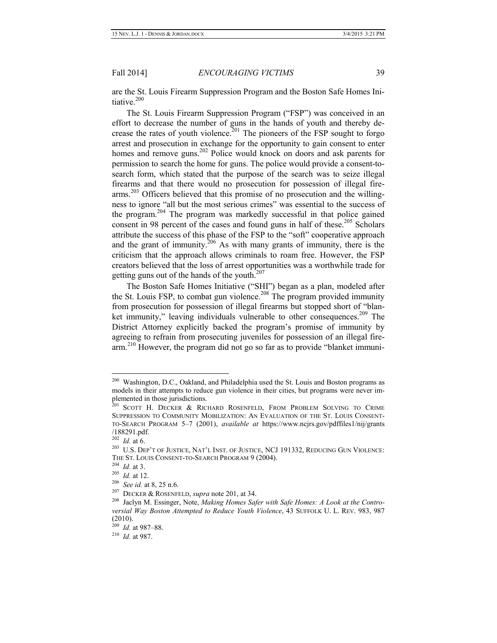are the St. Louis Firearm Suppression Program and the Boston Safe Homes Initiative. $200$ 

The St. Louis Firearm Suppression Program ("FSP") was conceived in an effort to decrease the number of guns in the hands of youth and thereby decrease the rates of youth violence.<sup>201</sup> The pioneers of the FSP sought to forgo arrest and prosecution in exchange for the opportunity to gain consent to enter homes and remove guns.<sup>202</sup> Police would knock on doors and ask parents for permission to search the home for guns. The police would provide a consent-tosearch form, which stated that the purpose of the search was to seize illegal firearms and that there would no prosecution for possession of illegal firearms.<sup>203</sup> Officers believed that this promise of no prosecution and the willingness to ignore "all but the most serious crimes" was essential to the success of the program.<sup>204</sup> The program was markedly successful in that police gained consent in 98 percent of the cases and found guns in half of these.<sup>205</sup> Scholars attribute the success of this phase of the FSP to the "soft" cooperative approach and the grant of immunity.<sup>206</sup> As with many grants of immunity, there is the criticism that the approach allows criminals to roam free. However, the FSP creators believed that the loss of arrest opportunities was a worthwhile trade for getting guns out of the hands of the youth.<sup>207</sup>

The Boston Safe Homes Initiative ("SHI") began as a plan, modeled after the St. Louis FSP, to combat gun violence.<sup>208</sup> The program provided immunity from prosecution for possession of illegal firearms but stopped short of "blanket immunity," leaving individuals vulnerable to other consequences.<sup>209</sup> The District Attorney explicitly backed the program's promise of immunity by agreeing to refrain from prosecuting juveniles for possession of an illegal firearm.<sup>210</sup> However, the program did not go so far as to provide "blanket immuni-

Washington, D.C., Oakland, and Philadelphia used the St. Louis and Boston programs as models in their attempts to reduce gun violence in their cities, but programs were never implemented in those jurisdictions.

<sup>&</sup>lt;sup>201</sup> SCOTT H. DECKER & RICHARD ROSENFELD, FROM PROBLEM SOLVING TO CRIME SUPPRESSION TO COMMUNITY MOBILIZATION: AN EVALUATION OF THE ST. LOUIS CONSENT-TO-SEARCH PROGRAM 5–7 (2001), *available at* https://www.ncjrs.gov/pdffiles1/nij/grants /188291.pdf.

<sup>202</sup> *Id.* at 6.

<sup>203</sup> U.S. DEP'T OF JUSTICE, NAT'L INST. OF JUSTICE, NCJ 191332, REDUCING GUN VIOLENCE: THE ST. LOUIS CONSENT-TO-SEARCH PROGRAM 9 (2004).

<sup>204</sup> *Id.* at 3.

<sup>205</sup> *Id.* at 12.

<sup>206</sup> *See id.* at 8, 25 n.6.

<sup>207</sup> DECKER & ROSENFELD, *supra* note 201, at 34.

<sup>208</sup> Jaclyn M. Essinger, Note, *Making Homes Safer with Safe Homes: A Look at the Controversial Way Boston Attempted to Reduce Youth Violence*, 43 SUFFOLK U. L. REV. 983, 987 (2010).

<sup>209</sup> *Id.* at 987–88.

<sup>210</sup> *Id.* at 987.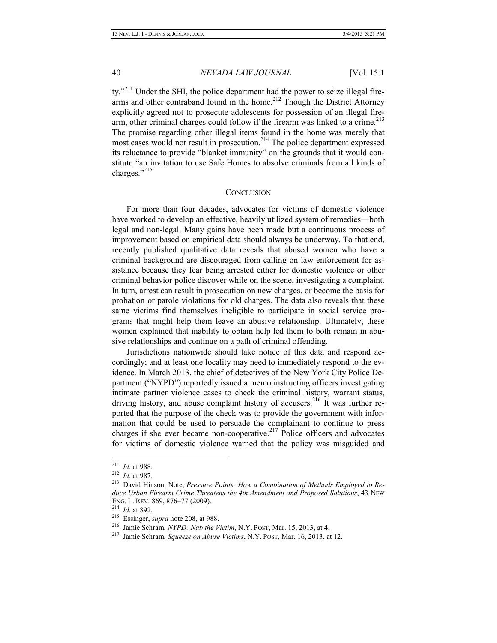ty."<sup>211</sup> Under the SHI, the police department had the power to seize illegal firearms and other contraband found in the home.<sup>212</sup> Though the District Attorney explicitly agreed not to prosecute adolescents for possession of an illegal firearm, other criminal charges could follow if the firearm was linked to a crime.<sup>213</sup> The promise regarding other illegal items found in the home was merely that most cases would not result in prosecution.<sup>214</sup> The police department expressed its reluctance to provide "blanket immunity" on the grounds that it would constitute "an invitation to use Safe Homes to absolve criminals from all kinds of charges."<sup>215</sup>

#### **CONCLUSION**

For more than four decades, advocates for victims of domestic violence have worked to develop an effective, heavily utilized system of remedies—both legal and non-legal. Many gains have been made but a continuous process of improvement based on empirical data should always be underway. To that end, recently published qualitative data reveals that abused women who have a criminal background are discouraged from calling on law enforcement for assistance because they fear being arrested either for domestic violence or other criminal behavior police discover while on the scene, investigating a complaint. In turn, arrest can result in prosecution on new charges, or become the basis for probation or parole violations for old charges. The data also reveals that these same victims find themselves ineligible to participate in social service programs that might help them leave an abusive relationship. Ultimately, these women explained that inability to obtain help led them to both remain in abusive relationships and continue on a path of criminal offending.

Jurisdictions nationwide should take notice of this data and respond accordingly; and at least one locality may need to immediately respond to the evidence. In March 2013, the chief of detectives of the New York City Police Department ("NYPD") reportedly issued a memo instructing officers investigating intimate partner violence cases to check the criminal history, warrant status, driving history, and abuse complaint history of accusers.<sup>216</sup> It was further reported that the purpose of the check was to provide the government with information that could be used to persuade the complainant to continue to press charges if she ever became non-cooperative.<sup>217</sup> Police officers and advocates for victims of domestic violence warned that the policy was misguided and

 <sup>211</sup> *Id.* at 988.

<sup>212</sup> *Id.* at 987.

<sup>213</sup> David Hinson, Note, *Pressure Points: How a Combination of Methods Employed to Reduce Urban Firearm Crime Threatens the 4th Amendment and Proposed Solutions*, 43 NEW ENG. L. REV. 869, 876–77 (2009).

<sup>214</sup> *Id.* at 892.

<sup>215</sup> Essinger, *supra* note 208, at 988.

<sup>216</sup> Jamie Schram, *NYPD: Nab the Victim*, N.Y. POST, Mar. 15, 2013, at 4.

<sup>217</sup> Jamie Schram, *Squeeze on Abuse Victims*, N.Y. POST, Mar. 16, 2013, at 12.